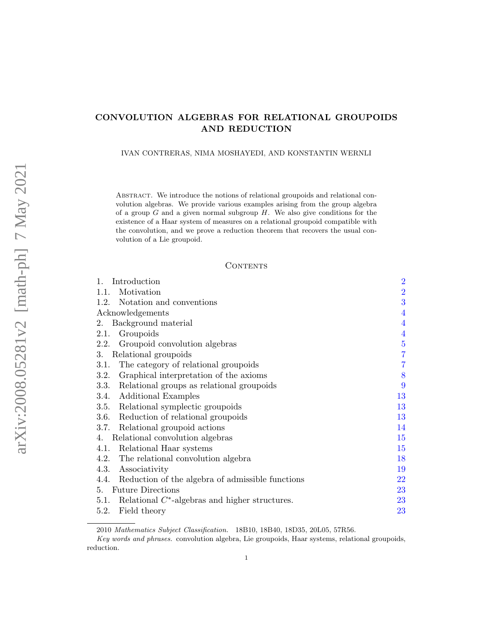# CONVOLUTION ALGEBRAS FOR RELATIONAL GROUPOIDS AND REDUCTION

IVAN CONTRERAS, NIMA MOSHAYEDI, AND KONSTANTIN WERNLI

Abstract. We introduce the notions of relational groupoids and relational convolution algebras. We provide various examples arising from the group algebra of a group  $G$  and a given normal subgroup  $H$ . We also give conditions for the existence of a Haar system of measures on a relational groupoid compatible with the convolution, and we prove a reduction theorem that recovers the usual convolution of a Lie groupoid.

## **CONTENTS**

| Introduction<br>1.                                        | $\overline{2}$ |
|-----------------------------------------------------------|----------------|
| Motivation<br>1.1.                                        | $\overline{2}$ |
| 1.2. Notation and conventions                             | 3              |
| Acknowledgements                                          | $\overline{4}$ |
| Background material<br>2.                                 | $\overline{4}$ |
| Groupoids<br>2.1.                                         | $\overline{4}$ |
| 2.2. Groupoid convolution algebras                        | $\overline{5}$ |
| Relational groupoids<br>3.                                | $\overline{7}$ |
| The category of relational groupoids<br>3.1.              | $\overline{7}$ |
| Graphical interpretation of the axioms<br>3.2.            | 8              |
| Relational groups as relational groupoids<br>3.3.         | 9              |
| Additional Examples<br>3.4.                               | 13             |
| Relational symplectic groupoids<br>3.5.                   | 13             |
| 3.6.<br>Reduction of relational groupoids                 | 13             |
| Relational groupoid actions<br>3.7.                       | 14             |
| Relational convolution algebras<br>4.                     | $15\,$         |
| Relational Haar systems<br>4.1.                           | 15             |
| 4.2. The relational convolution algebra                   | 18             |
| Associativity<br>4.3.                                     | 19             |
| 4.4. Reduction of the algebra of admissible functions     | 22             |
| 5. Future Directions                                      | 23             |
| Relational $C^*$ -algebras and higher structures.<br>5.1. | 23             |
| Field theory<br>5.2.                                      | 23             |

<sup>2010</sup> Mathematics Subject Classification. 18B10, 18B40, 18D35, 20L05, 57R56.

Key words and phrases. convolution algebra, Lie groupoids, Haar systems, relational groupoids, reduction.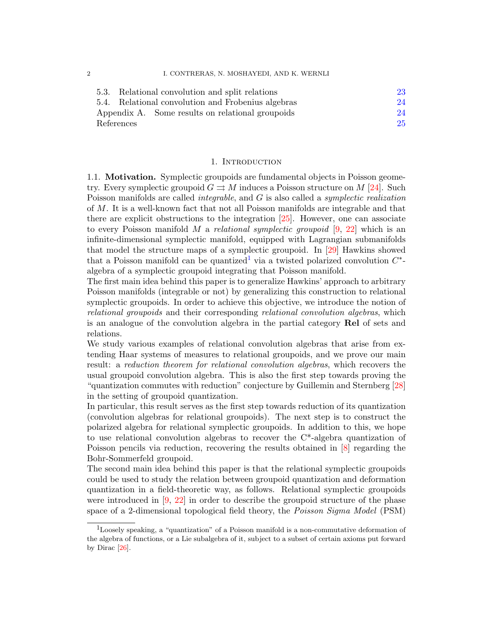| 5.3. Relational convolution and split relations    | 23 |
|----------------------------------------------------|----|
| 5.4. Relational convolution and Frobenius algebras | 24 |
| Appendix A. Some results on relational groupoids   | 24 |
| References                                         | 25 |

### 1. INTRODUCTION

<span id="page-1-1"></span><span id="page-1-0"></span>1.1. Motivation. Symplectic groupoids are fundamental objects in Poisson geometry. Every symplectic groupoid  $G \rightrightarrows M$  induces a Poisson structure on M [\[24\]](#page-25-0). Such Poisson manifolds are called integrable, and G is also called a symplectic realization of M. It is a well-known fact that not all Poisson manifolds are integrable and that there are explicit obstructions to the integration [\[25\]](#page-25-1). However, one can associate to every Poisson manifold M a relational symplectic groupoid  $[9, 22]$  $[9, 22]$  $[9, 22]$  which is an infinite-dimensional symplectic manifold, equipped with Lagrangian submanifolds that model the structure maps of a symplectic groupoid. In [\[29\]](#page-25-4) Hawkins showed that a Poisson manifold can be quantized<sup>[1](#page-1-2)</sup> via a twisted polarized convolution  $C^*$ algebra of a symplectic groupoid integrating that Poisson manifold.

The first main idea behind this paper is to generalize Hawkins' approach to arbitrary Poisson manifolds (integrable or not) by generalizing this construction to relational symplectic groupoids. In order to achieve this objective, we introduce the notion of relational groupoids and their corresponding relational convolution algebras, which is an analogue of the convolution algebra in the partial category Rel of sets and relations.

We study various examples of relational convolution algebras that arise from extending Haar systems of measures to relational groupoids, and we prove our main result: a reduction theorem for relational convolution algebras, which recovers the usual groupoid convolution algebra. This is also the first step towards proving the "quantization commutes with reduction" conjecture by Guillemin and Sternberg [\[28\]](#page-25-5) in the setting of groupoid quantization.

In particular, this result serves as the first step towards reduction of its quantization (convolution algebras for relational groupoids). The next step is to construct the polarized algebra for relational symplectic groupoids. In addition to this, we hope to use relational convolution algebras to recover the C\*-algebra quantization of Poisson pencils via reduction, recovering the results obtained in [\[8\]](#page-25-6) regarding the Bohr-Sommerfeld groupoid.

The second main idea behind this paper is that the relational symplectic groupoids could be used to study the relation between groupoid quantization and deformation quantization in a field-theoretic way, as follows. Relational symplectic groupoids were introduced in [\[9,](#page-25-2) [22\]](#page-25-3) in order to describe the groupoid structure of the phase space of a 2-dimensional topological field theory, the *Poisson Sigma Model* (PSM)

<span id="page-1-2"></span><sup>&</sup>lt;sup>1</sup>Loosely speaking, a "quantization" of a Poisson manifold is a non-commutative deformation of the algebra of functions, or a Lie subalgebra of it, subject to a subset of certain axioms put forward by Dirac [\[26\]](#page-25-7).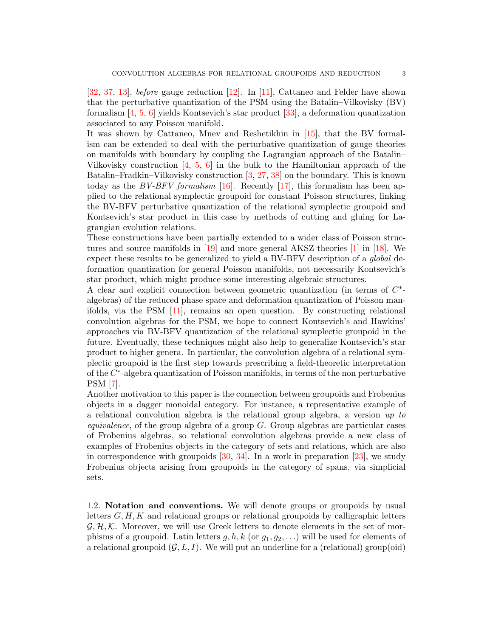[\[32,](#page-25-8) [37,](#page-26-0) [13\]](#page-25-9), before gauge reduction [\[12\]](#page-25-10). In [\[11\]](#page-25-11), Cattaneo and Felder have shown that the perturbative quantization of the PSM using the Batalin–Vilkovisky (BV) formalism [\[4,](#page-24-1) [5,](#page-25-12) [6\]](#page-25-13) yields Kontsevich's star product [\[33\]](#page-26-1), a deformation quantization associated to any Poisson manifold.

It was shown by Cattaneo, Mnev and Reshetikhin in [\[15\]](#page-25-14), that the BV formalism can be extended to deal with the perturbative quantization of gauge theories on manifolds with boundary by coupling the Lagrangian approach of the Batalin– Vilkovisky construction [\[4,](#page-24-1) [5,](#page-25-12) [6\]](#page-25-13) in the bulk to the Hamiltonian approach of the Batalin–Fradkin–Vilkovisky construction [\[3,](#page-24-2) [27,](#page-25-15) [38\]](#page-26-2) on the boundary. This is known today as the  $BV-BFV$  formalism [\[16\]](#page-25-16). Recently [\[17\]](#page-25-17), this formalism has been applied to the relational symplectic groupoid for constant Poisson structures, linking the BV-BFV perturbative quantization of the relational symplectic groupoid and Kontsevich's star product in this case by methods of cutting and gluing for Lagrangian evolution relations.

These constructions have been partially extended to a wider class of Poisson structures and source manifolds in [\[19\]](#page-25-18) and more general AKSZ theories [\[1\]](#page-24-3) in [\[18\]](#page-25-19). We expect these results to be generalized to yield a BV-BFV description of a global deformation quantization for general Poisson manifolds, not necessarily Kontsevich's star product, which might produce some interesting algebraic structures.

A clear and explicit connection between geometric quantization (in terms of  $C^*$ algebras) of the reduced phase space and deformation quantization of Poisson manifolds, via the PSM [\[11\]](#page-25-11), remains an open question. By constructing relational convolution algebras for the PSM, we hope to connect Kontsevich's and Hawkins' approaches via BV-BFV quantization of the relational symplectic groupoid in the future. Eventually, these techniques might also help to generalize Kontsevich's star product to higher genera. In particular, the convolution algebra of a relational symplectic groupoid is the first step towards prescribing a field-theoretic interpretation of the C<sup>\*</sup>-algebra quantization of Poisson manifolds, in terms of the non perturbative PSM [\[7\]](#page-25-20).

Another motivation to this paper is the connection between groupoids and Frobenius objects in a dagger monoidal category. For instance, a representative example of a relational convolution algebra is the relational group algebra, a version up to *equivalence*, of the group algebra of a group  $G$ . Group algebras are particular cases of Frobenius algebras, so relational convolution algebras provide a new class of examples of Frobenius objects in the category of sets and relations, which are also in correspondence with groupoids [\[30,](#page-25-21) [34\]](#page-26-3). In a work in preparation [\[23\]](#page-25-22), we study Frobenius objects arising from groupoids in the category of spans, via simplicial sets.

<span id="page-2-0"></span>1.2. Notation and conventions. We will denote groups or groupoids by usual letters  $G, H, K$  and relational groups or relational groupoids by calligraphic letters  $\mathcal{G}, \mathcal{H}, \mathcal{K}$ . Moreover, we will use Greek letters to denote elements in the set of morphisms of a groupoid. Latin letters  $g, h, k$  (or  $g_1, g_2, \ldots$ ) will be used for elements of a relational groupoid  $(G, L, I)$ . We will put an underline for a (relational) group(oid)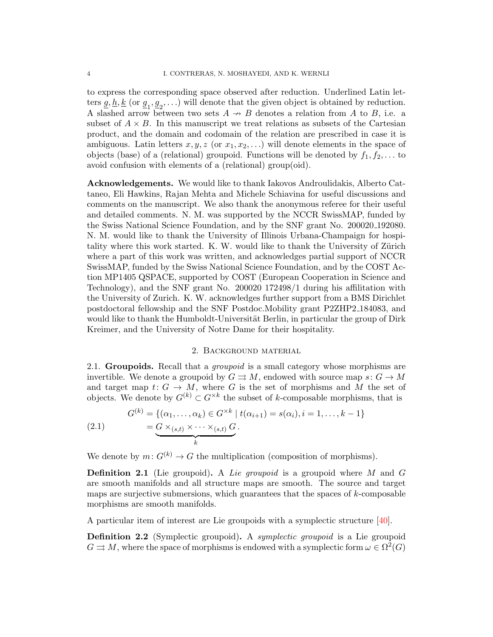to express the corresponding space observed after reduction. Underlined Latin letters  $\underline{g}, \underline{h}, \underline{k}$  (or  $\underline{g}_1, \underline{g}_2, \ldots$ ) will denote that the given object is obtained by reduction. A slashed arrow between two sets  $A \rightarrow B$  denotes a relation from A to B, i.e. a subset of  $A \times B$ . In this manuscript we treat relations as subsets of the Cartesian product, and the domain and codomain of the relation are prescribed in case it is ambiguous. Latin letters  $x, y, z$  (or  $x_1, x_2, \ldots$ ) will denote elements in the space of objects (base) of a (relational) groupoid. Functions will be denoted by  $f_1, f_2, \ldots$  to avoid confusion with elements of a (relational) group(oid).

<span id="page-3-0"></span>Acknowledgements. We would like to thank Iakovos Androulidakis, Alberto Cattaneo, Eli Hawkins, Rajan Mehta and Michele Schiavina for useful discussions and comments on the manuscript. We also thank the anonymous referee for their useful and detailed comments. N. M. was supported by the NCCR SwissMAP, funded by the Swiss National Science Foundation, and by the SNF grant No. 200020 192080. N. M. would like to thank the University of Illinois Urbana-Champaign for hospitality where this work started. K. W. would like to thank the University of Zürich where a part of this work was written, and acknowledges partial support of NCCR SwissMAP, funded by the Swiss National Science Foundation, and by the COST Action MP1405 QSPACE, supported by COST (European Cooperation in Science and Technology), and the SNF grant No. 200020 172498/1 during his affilitation with the University of Zurich. K. W. acknowledges further support from a BMS Dirichlet postdoctoral fellowship and the SNF Postdoc.Mobility grant P2ZHP2 184083, and would like to thank the Humboldt-Universität Berlin, in particular the group of Dirk Kreimer, and the University of Notre Dame for their hospitality.

### 2. Background material

<span id="page-3-2"></span><span id="page-3-1"></span>2.1. Groupoids. Recall that a *groupoid* is a small category whose morphisms are invertible. We denote a groupoid by  $G \rightrightarrows M$ , endowed with source map  $s: G \to M$ and target map  $t: G \to M$ , where G is the set of morphisms and M the set of objects. We denote by  $G^{(k)} \subset G^{\times k}$  the subset of k-composable morphisms, that is

(2.1) 
$$
G^{(k)} = \{(\alpha_1, ..., \alpha_k) \in G^{\times k} \mid t(\alpha_{i+1}) = s(\alpha_i), i = 1, ..., k-1\} \\
= \underbrace{G \times_{(s,t)} \times \cdots \times_{(s,t)} G}_{k}.
$$

We denote by  $m: G^{(k)} \to G$  the multiplication (composition of morphisms).

**Definition 2.1** (Lie groupoid). A Lie groupoid is a groupoid where M and G are smooth manifolds and all structure maps are smooth. The source and target maps are surjective submersions, which guarantees that the spaces of k-composable morphisms are smooth manifolds.

A particular item of interest are Lie groupoids with a symplectic structure [\[40\]](#page-26-4).

<span id="page-3-3"></span>**Definition 2.2** (Symplectic groupoid). A *symplectic groupoid* is a Lie groupoid  $G \rightrightarrows M$ , where the space of morphisms is endowed with a symplectic form  $\omega \in \Omega^2(G)$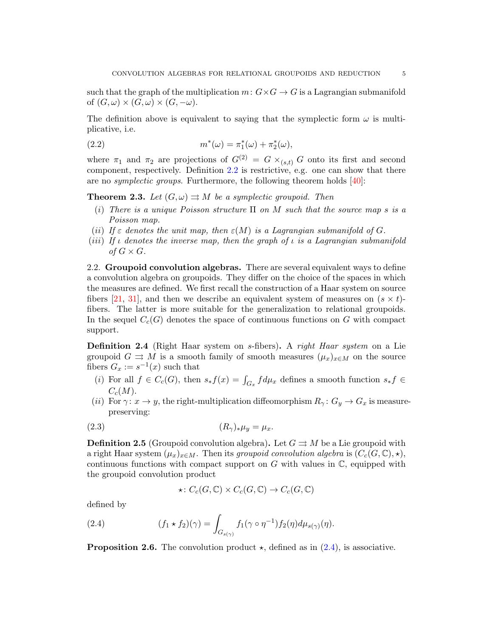such that the graph of the multiplication  $m: G \times G \to G$  is a Lagrangian submanifold of  $(G, \omega) \times (G, \omega) \times (G, -\omega)$ .

The definition above is equivalent to saying that the symplectic form  $\omega$  is multiplicative, i.e.

(2.2) 
$$
m^*(\omega) = \pi_1^*(\omega) + \pi_2^*(\omega),
$$

where  $\pi_1$  and  $\pi_2$  are projections of  $G^{(2)} = G \times_{(s,t)} G$  onto its first and second component, respectively. Definition [2.2](#page-3-3) is restrictive, e.g. one can show that there are no *symplectic groups*. Furthermore, the following theorem holds  $[40]$ :

**Theorem 2.3.** Let  $(G, \omega) \rightrightarrows M$  be a symplectic groupoid. Then

- (i) There is a unique Poisson structure  $\Pi$  on M such that the source map s is a Poisson map.
- (ii) If  $\varepsilon$  denotes the unit map, then  $\varepsilon(M)$  is a Lagrangian submanifold of G.
- (iii) If  $\iota$  denotes the inverse map, then the graph of  $\iota$  is a Lagrangian submanifold of  $G \times G$ .

<span id="page-4-0"></span>2.2. Groupoid convolution algebras. There are several equivalent ways to define a convolution algebra on groupoids. They differ on the choice of the spaces in which the measures are defined. We first recall the construction of a Haar system on source fibers [\[21,](#page-25-23) [31\]](#page-25-24), and then we describe an equivalent system of measures on  $(s \times t)$ fibers. The latter is more suitable for the generalization to relational groupoids. In the sequel  $C_c(G)$  denotes the space of continuous functions on G with compact support.

<span id="page-4-2"></span>Definition 2.4 (Right Haar system on s-fibers). A right Haar system on a Lie groupoid  $G \rightrightarrows M$  is a smooth family of smooth measures  $(\mu_x)_{x \in M}$  on the source fibers  $G_x := s^{-1}(x)$  such that

- (i) For all  $f \in C_c(G)$ , then  $s_* f(x) = \int_{G_x} f d\mu_x$  defines a smooth function  $s_* f \in$  $C_c(M)$ .
- (ii) For  $\gamma: x \to y$ , the right-multiplication diffeomorphism  $R_{\gamma}: G_y \to G_x$  is measurepreserving:

$$
(2.3) \t\t (R_{\gamma})_*\mu_y = \mu_x.
$$

**Definition 2.5** (Groupoid convolution algebra). Let  $G \rightrightarrows M$  be a Lie groupoid with a right Haar system  $(\mu_x)_{x\in M}$ . Then its groupoid convolution algebra is  $(C_c(G, \mathbb{C}), \star),$ continuous functions with compact support on  $G$  with values in  $\mathbb{C}$ , equipped with the groupoid convolution product

<span id="page-4-1"></span>
$$
\star\colon C_c(G,\mathbb{C})\times C_c(G,\mathbb{C})\to C_c(G,\mathbb{C})
$$

defined by

(2.4) 
$$
(f_1 \star f_2)(\gamma) = \int_{G_{s(\gamma)}} f_1(\gamma \circ \eta^{-1}) f_2(\eta) d\mu_{s(\gamma)}(\eta).
$$

**Proposition 2.6.** The convolution product  $\star$ , defined as in [\(2.4\)](#page-4-1), is associative.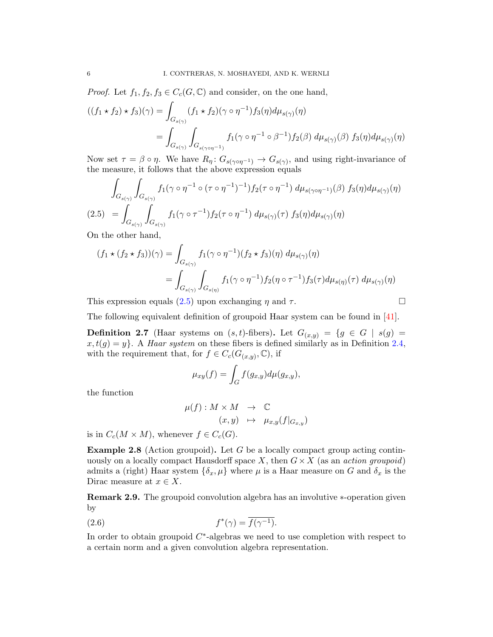*Proof.* Let  $f_1, f_2, f_3 \in C_c(G, \mathbb{C})$  and consider, on the one hand,

$$
((f_1 \star f_2) \star f_3)(\gamma) = \int_{G_{s(\gamma)}} (f_1 \star f_2)(\gamma \circ \eta^{-1}) f_3(\eta) d\mu_{s(\gamma)}(\eta)
$$
  
= 
$$
\int_{G_{s(\gamma)}} \int_{G_{s(\gamma \circ \eta^{-1})}} f_1(\gamma \circ \eta^{-1} \circ \beta^{-1}) f_2(\beta) d\mu_{s(\gamma)}(\beta) f_3(\eta) d\mu_{s(\gamma)}(\eta)
$$

Now set  $\tau = \beta \circ \eta$ . We have  $R_{\eta}: G_{s(\gamma \circ \eta^{-1})} \to G_{s(\gamma)}$ , and using right-invariance of the measure, it follows that the above expression equals

<span id="page-5-0"></span>
$$
\int_{G_{s(\gamma)}} \int_{G_{s(\gamma)}} f_1(\gamma \circ \eta^{-1} \circ (\tau \circ \eta^{-1})^{-1}) f_2(\tau \circ \eta^{-1}) d\mu_{s(\gamma \circ \eta^{-1})}(\beta) f_3(\eta) d\mu_{s(\gamma)}(\eta)
$$
\n
$$
(2.5) \quad = \int_{G_{s(\gamma)}} \int_{G_{s(\gamma)}} f_1(\gamma \circ \tau^{-1}) f_2(\tau \circ \eta^{-1}) d\mu_{s(\gamma)}(\tau) f_3(\eta) d\mu_{s(\gamma)}(\eta)
$$

On the other hand,

$$
(f_1 \star (f_2 \star f_3))(\gamma) = \int_{G_{s(\gamma)}} f_1(\gamma \circ \eta^{-1})(f_2 \star f_3)(\eta) d\mu_{s(\gamma)}(\eta)
$$
  
= 
$$
\int_{G_{s(\gamma)}} \int_{G_{s(\eta)}} f_1(\gamma \circ \eta^{-1}) f_2(\eta \circ \tau^{-1}) f_3(\tau) d\mu_{s(\eta)}(\tau) d\mu_{s(\gamma)}(\eta)
$$

This expression equals  $(2.5)$  upon exchanging  $\eta$  and  $\tau$ .

$$
\Box
$$

The following equivalent definition of groupoid Haar system can be found in [\[41\]](#page-26-5).

**Definition 2.7** (Haar systems on  $(s, t)$ -fibers). Let  $G_{(x,y)} = \{g \in G \mid s(g) =$  $x, t(g) = y$ . A *Haar system* on these fibers is defined similarly as in Definition [2.4,](#page-4-2) with the requirement that, for  $f \in C_c(G_{(x,y)}, \mathbb{C})$ , if

$$
\mu_{xy}(f) = \int_G f(g_{x,y}) d\mu(g_{x,y}),
$$

the function

$$
\mu(f) : M \times M \rightarrow \mathbb{C}
$$
  

$$
(x, y) \mapsto \mu_{x,y}(f|_{G_{x,y}})
$$

is in  $C_c(M \times M)$ , whenever  $f \in C_c(G)$ .

**Example 2.8** (Action groupoid). Let G be a locally compact group acting continuously on a locally compact Hausdorff space X, then  $G \times X$  (as an *action groupoid*) admits a (right) Haar system  $\{\delta_x, \mu\}$  where  $\mu$  is a Haar measure on G and  $\delta_x$  is the Dirac measure at  $x \in X$ .

Remark 2.9. The groupoid convolution algebra has an involutive ∗-operation given by

(2.6) 
$$
f^*(\gamma) = \overline{f(\gamma^{-1})}.
$$

In order to obtain groupoid  $C^*$ -algebras we need to use completion with respect to a certain norm and a given convolution algebra representation.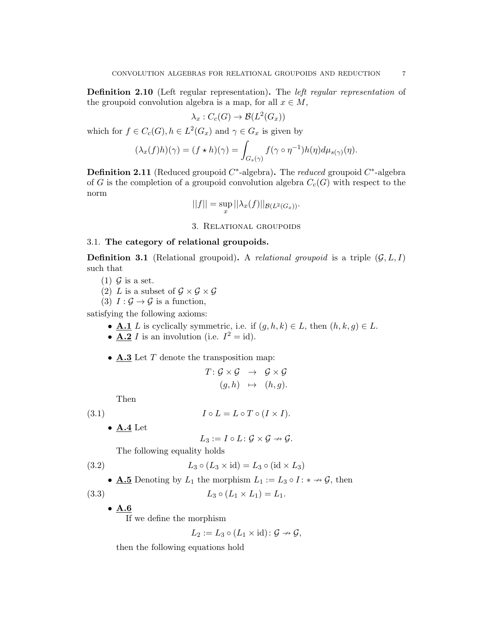Definition 2.10 (Left regular representation). The left regular representation of the groupoid convolution algebra is a map, for all  $x \in M$ ,

$$
\lambda_x : C_c(G) \to \mathcal{B}(L^2(G_x))
$$

which for  $f \in C_c(G)$ ,  $h \in L^2(G_x)$  and  $\gamma \in G_x$  is given by

$$
(\lambda_x(f)h)(\gamma) = (f \star h)(\gamma) = \int_{G_s(\gamma)} f(\gamma \circ \eta^{-1})h(\eta) d\mu_{s(\gamma)}(\eta).
$$

**Definition 2.11** (Reduced groupoid  $C^*$ -algebra). The *reduced* groupoid  $C^*$ -algebra of G is the completion of a groupoid convolution algebra  $C_c(G)$  with respect to the norm

$$
||f|| = \sup_x ||\lambda_x(f)||_{\mathcal{B}(L^2(G_x))}.
$$

3. Relational groupoids

### <span id="page-6-1"></span><span id="page-6-0"></span>3.1. The category of relational groupoids.

<span id="page-6-2"></span>**Definition 3.1** (Relational groupoid). A *relational groupoid* is a triple  $(G, L, I)$ such that

- (1)  $\mathcal G$  is a set.
- (2) L is a subset of  $\mathcal{G} \times \mathcal{G} \times \mathcal{G}$
- (3)  $I: \mathcal{G} \to \mathcal{G}$  is a function,

satisfying the following axioms:

- **A.1** L is cyclically symmetric, i.e. if  $(g, h, k) \in L$ , then  $(h, k, g) \in L$ .
- **A.2** *I* is an involution (i.e.  $I^2 = id$ ).
- $\mathbf{A.3}$  Let T denote the transposition map:

$$
\begin{array}{rcl} T\colon {\mathcal G}\times{\mathcal G}&\to&{\mathcal G}\times{\mathcal G}\\[1mm] (g,h)&\mapsto&(h,g). \end{array}
$$

Then

(3.1) 
$$
I \circ L = L \circ T \circ (I \times I).
$$

 $\bullet$  A.4 Let

<span id="page-6-4"></span><span id="page-6-3"></span>
$$
L_3:=I\circ L\colon \mathcal{G}\times\mathcal{G}\to\mathcal{G}.
$$

The following equality holds

(3.2) 
$$
L_3 \circ (L_3 \times \text{id}) = L_3 \circ (\text{id} \times L_3)
$$

• **A.5** Denoting by  $L_1$  the morphism  $L_1 := L_3 \circ I : * \to \mathcal{G}$ , then

(3.3)  $L_3 \circ (L_1 \times L_1) = L_1.$ 

• A.6

If we define the morphism

<span id="page-6-5"></span>
$$
L_2 := L_3 \circ (L_1 \times id) : \mathcal{G} \to \mathcal{G},
$$

then the following equations hold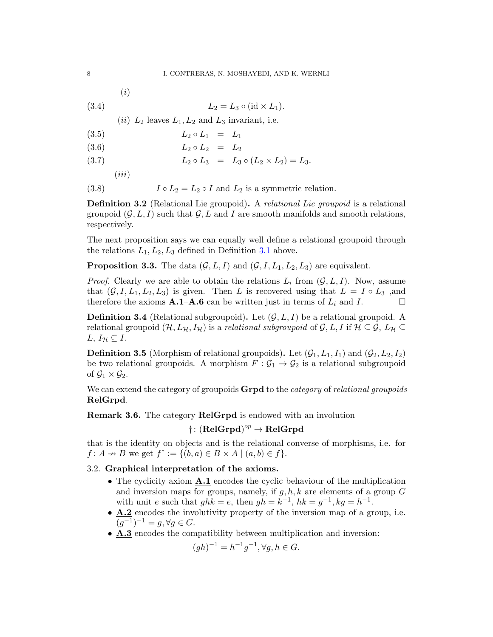(3.4)  $L_2 = L_3 \circ (\text{id} \times L_1).$ 

(*ii*)  $L_2$  leaves  $L_1, L_2$  and  $L_3$  invariant, i.e.

$$
(3.5) \qquad \qquad L_2 \circ L_1 = L_1
$$

(3.6)  $L_2 \circ L_2 = L_2$ 

(3.7) 
$$
L_2 \circ L_3 = L_3 \circ (L_2 \times L_2) = L_3.
$$

 $(iii)$ 

<span id="page-7-2"></span><span id="page-7-1"></span>(i)

(3.8)  $I \circ L_2 = L_2 \circ I$  and  $L_2$  is a symmetric relation.

Definition 3.2 (Relational Lie groupoid). A relational Lie groupoid is a relational groupoid  $(\mathcal{G}, L, I)$  such that  $\mathcal{G}, L$  and I are smooth manifolds and smooth relations, respectively.

The next proposition says we can equally well define a relational groupoid through the relations  $L_1, L_2, L_3$  defined in Definition [3.1](#page-6-2) above.

**Proposition 3.3.** The data  $(\mathcal{G}, L, I)$  and  $(\mathcal{G}, I, L_1, L_2, L_3)$  are equivalent.

*Proof.* Clearly we are able to obtain the relations  $L_i$  from  $(\mathcal{G}, L, I)$ . Now, assume that  $(G, I, L_1, L_2, L_3)$  is given. Then L is recovered using that  $L = I \circ L_3$ , and therefore the axioms  $\underline{\mathbf{A}}.\underline{\mathbf{1}}-\underline{\mathbf{A}}.\underline{\mathbf{6}}$  can be written just in terms of  $L_i$  and  $I$ .

**Definition 3.4** (Relational subgroupoid). Let  $(G, L, I)$  be a relational groupoid. A relational groupoid  $(H, L_H, I_H)$  is a relational subgroupoid of  $\mathcal{G}, L, I$  if  $\mathcal{H} \subseteq \mathcal{G}, L_H \subseteq$  $L, I_{\mathcal{H}} \subseteq I$ .

**Definition 3.5** (Morphism of relational groupoids). Let  $(\mathcal{G}_1, L_1, I_1)$  and  $(\mathcal{G}_2, L_2, I_2)$ be two relational groupoids. A morphism  $F: \mathcal{G}_1 \to \mathcal{G}_2$  is a relational subgroupoid of  $\mathcal{G}_1 \times \mathcal{G}_2$ .

We can extend the category of groupoids **Grpd** to the *category* of *relational groupoids* RelGrpd.

Remark 3.6. The category RelGrpd is endowed with an involution

# $\dagger \colon (\mathbf{RelGrpd})^{op} \to \mathbf{RelGrpd}$

that is the identity on objects and is the relational converse of morphisms, i.e. for  $f: A \rightarrow B$  we get  $f^{\dagger} := \{ (b, a) \in B \times A \mid (a, b) \in f \}.$ 

# <span id="page-7-0"></span>3.2. Graphical interpretation of the axioms.

- The cyclicity axiom **A.1** encodes the cyclic behaviour of the multiplication and inversion maps for groups, namely, if  $g, h, k$  are elements of a group  $G$ with unit e such that  $ghk = e$ , then  $gh = k^{-1}$ ,  $hk = g^{-1}$ ,  $kg = h^{-1}$ .
- A.2 encodes the involutivity property of the inversion map of a group, i.e.  $(g^{-1})^{-1} = g, \forall g \in G.$
- **A.3** encodes the compatibility between multiplication and inversion:

$$
(gh)^{-1} = h^{-1}g^{-1}, \forall g, h \in G.
$$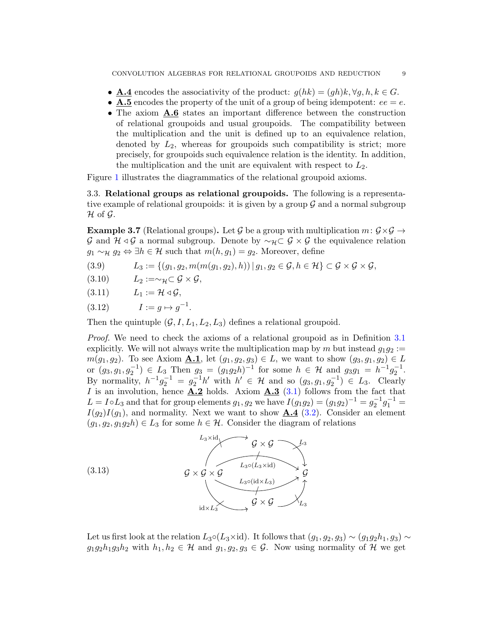- **A.4** encodes the associativity of the product:  $g(hk) = (gh)k, \forall g, h, k \in G$ .
- **A.5** encodes the property of the unit of a group of being idempotent:  $ee = e$ .
- The axiom  $A.6$  states an important difference between the construction of relational groupoids and usual groupoids. The compatibility between the multiplication and the unit is defined up to an equivalence relation, denoted by  $L_2$ , whereas for groupoids such compatibility is strict; more precisely, for groupoids such equivalence relation is the identity. In addition, the multiplication and the unit are equivalent with respect to  $L_2$ .

Figure [1](#page-9-0) illustrates the diagrammatics of the relational groupoid axioms.

<span id="page-8-0"></span>3.3. Relational groups as relational groupoids. The following is a representative example of relational groupoids: it is given by a group  $\mathcal G$  and a normal subgroup  $\mathcal H$  of  $\mathcal G$ .

<span id="page-8-1"></span>**Example 3.7** (Relational groups). Let G be a group with multiplication  $m: \mathcal{G} \times \mathcal{G} \rightarrow$ G and  $H \triangleleft G$  a normal subgroup. Denote by  $\sim_H \subset G \times G$  the equivalence relation  $g_1 \sim_{\mathcal{H}} g_2 \Leftrightarrow \exists h \in \mathcal{H}$  such that  $m(h, g_1) = g_2$ . Moreover, define

- (3.9)  $L_3 := \{(g_1, g_2, m(m(g_1, g_2), h)) | g_1, g_2 \in \mathcal{G}, h \in \mathcal{H}\}\subset \mathcal{G}\times\mathcal{G}\times\mathcal{G},$
- $(3.10)$   $L_2 := \sim_{\mathcal{H}} \subset \mathcal{G} \times \mathcal{G},$
- $(3.11)$   $L_1 := \mathcal{H} \triangleleft \mathcal{G},$
- $(3.12)$   $I := g \mapsto g^{-1}.$

Then the quintuple  $(\mathcal{G}, I, L_1, L_2, L_3)$  defines a relational groupoid.

Proof. We need to check the axioms of a relational groupoid as in Definition [3.1](#page-6-2) explicitly. We will not always write the multiplication map by m but instead  $q_1q_2 :=$  $m(g_1, g_2)$ . To see Axiom **A.1**, let  $(g_1, g_2, g_3) \in L$ , we want to show  $(g_3, g_1, g_2) \in L$ or  $(g_3, g_1, g_2^{-1}) \in L_3$  Then  $g_3 = (g_1g_2h)^{-1}$  for some  $h \in \mathcal{H}$  and  $g_3g_1 = h^{-1}g_2^{-1}$ . By normality,  $h^{-1}g_2^{-1} = g_2^{-1}h'$  with  $h' \in \mathcal{H}$  and so  $(g_3, g_1, g_2^{-1}) \in L_3$ . Clearly I is an involution, hence  $\mathbf{A.2}$  holds. Axiom  $\mathbf{A.3}$  [\(3.1\)](#page-6-3) follows from the fact that  $L = I \circ L_3$  and that for group elements  $g_1, g_2$  we have  $I(g_1g_2) = (g_1g_2)^{-1} = g_2^{-1}g_1^{-1} =$  $I(g_2)I(g_1)$ , and normality. Next we want to show  $\mathbf{A.4}$  [\(3.2\)](#page-6-4). Consider an element  $(g_1, g_2, g_1g_2h) \in L_3$  for some  $h \in \mathcal{H}$ . Consider the diagram of relations



Let us first look at the relation  $L_3 \circ (L_3 \times id)$ . It follows that  $(g_1, g_2, g_3) \sim (g_1 g_2 h_1, g_3) \sim$  $g_1g_2h_1g_3h_2$  with  $h_1, h_2 \in \mathcal{H}$  and  $g_1, g_2, g_3 \in \mathcal{G}$ . Now using normality of  $\mathcal{H}$  we get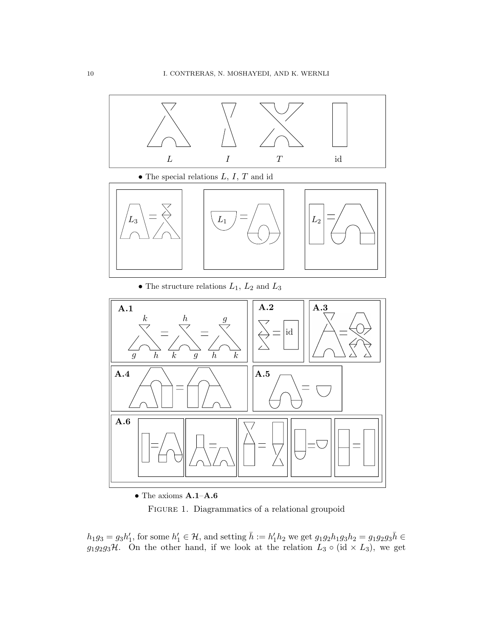<span id="page-9-0"></span>

• The special relations  $L, I, T$  and id



 $\bullet$  The structure relations  $L_1,\,L_2$  and  $L_3$ 



 $\bullet$  The axioms  $\mathbf{A.1}\text{--}\mathbf{A.6}$ 

FIGURE 1. Diagrammatics of a relational groupoid

 $h_1g_3 = g_3h'_1$ , for some  $h'_1 \in \mathcal{H}$ , and setting  $\bar{h} := h'_1h_2$  we get  $g_1g_2h_1g_3h_2 = g_1g_2g_3\bar{h} \in$  $g_1g_2g_3\mathcal{H}$ . On the other hand, if we look at the relation  $L_3 \circ (\mathrm{id} \times L_3)$ , we get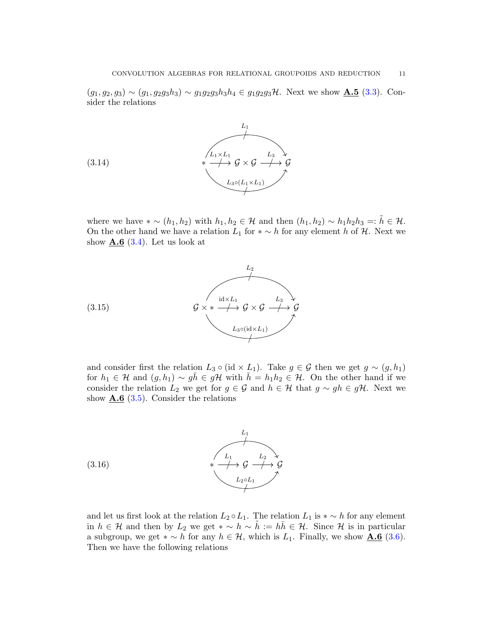$(g_1, g_2, g_3) \sim (g_1, g_2g_3h_3) \sim g_1g_2g_3h_3h_4 \in g_1g_2g_3\mathcal{H}$ . Next we show  $\underline{\mathbf{A.5}}$  [\(3.3\)](#page-6-5). Consider the relations



where we have  $*\sim (h_1, h_2)$  with  $h_1, h_2 \in \mathcal{H}$  and then  $(h_1, h_2) \sim h_1 h_2 h_3 =: h \in \mathcal{H}$ . On the other hand we have a relation  $L_1$  for  $*\sim h$  for any element h of H. Next we show  $\mathbf{\underline{A.6}}$  [\(3.4\)](#page-7-1). Let us look at



and consider first the relation  $L_3 \circ (\mathrm{id} \times L_1)$ . Take  $g \in \mathcal{G}$  then we get  $g \sim (g, h_1)$ for  $h_1 \in \mathcal{H}$  and  $(g, h_1) \sim g\overline{h} \in g\mathcal{H}$  with  $\overline{h} = h_1h_2 \in \mathcal{H}$ . On the other hand if we consider the relation  $L_2$  we get for  $g \in \mathcal{G}$  and  $h \in \mathcal{H}$  that  $g \sim gh \in g\mathcal{H}$ . Next we show  $\mathbf{A.6}$  [\(3.5\)](#page-7-2). Consider the relations



and let us first look at the relation  $L_2 \circ L_1$ . The relation  $L_1$  is  $\ast \sim h$  for any element in  $h \in \mathcal{H}$  and then by  $L_2$  we get  $* \sim h \sim \tilde{h} := h\overline{h} \in \mathcal{H}$ . Since  $\mathcal{H}$  is in particular a subgroup, we get  $*\sim h$  for any  $h \in \mathcal{H}$ , which is  $L_1$ . Finally, we show  $\underline{\mathbf{A.6}}$  [\(3.6\)](#page-7-2). Then we have the following relations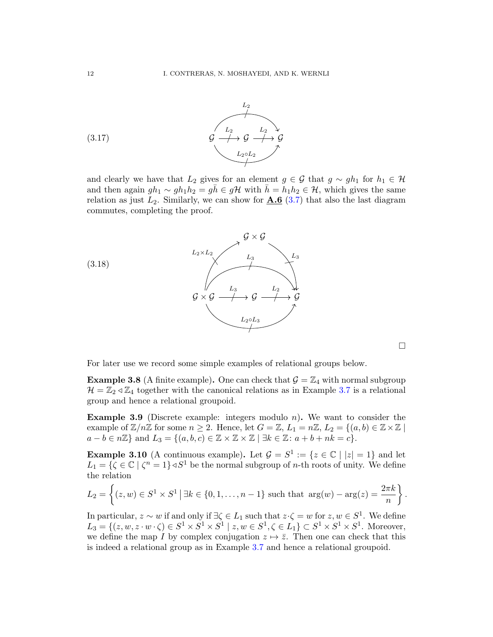

and clearly we have that  $L_2$  gives for an element  $g \in \mathcal{G}$  that  $g \sim gh_1$  for  $h_1 \in \mathcal{H}$ and then again  $gh_1 \sim gh_1h_2 = g\bar{h} \in g\mathcal{H}$  with  $\bar{h} = h_1h_2 \in \mathcal{H}$ , which gives the same relation as just  $L_2$ . Similarly, we can show for  $\mathbf{\underline{A.6}}$  [\(3.7\)](#page-7-2) that also the last diagram commutes, completing the proof.



 $\Box$ 

For later use we record some simple examples of relational groups below.

<span id="page-11-1"></span>**Example 3.8** (A finite example). One can check that  $\mathcal{G} = \mathbb{Z}_4$  with normal subgroup  $\mathcal{H} = \mathbb{Z}_2 \triangleleft \mathbb{Z}_4$  together with the canonical relations as in Example [3.7](#page-8-1) is a relational group and hence a relational groupoid.

<span id="page-11-2"></span>**Example 3.9** (Discrete example: integers modulo  $n$ ). We want to consider the example of  $\mathbb{Z}/n\mathbb{Z}$  for some  $n \geq 2$ . Hence, let  $G = \mathbb{Z}, L_1 = n\mathbb{Z}, L_2 = \{(a, b) \in \mathbb{Z} \times \mathbb{Z} \mid$  $a - b \in n\mathbb{Z}$  and  $L_3 = \{(a, b, c) \in \mathbb{Z} \times \mathbb{Z} \times \mathbb{Z} \mid \exists k \in \mathbb{Z} \colon a + b + nk = c\}.$ 

<span id="page-11-0"></span>**Example 3.10** (A continuous example). Let  $\mathcal{G} = S^1 := \{z \in \mathbb{C} \mid |z| = 1\}$  and let  $L_1 = \{ \zeta \in \mathbb{C} \mid \zeta^n = 1 \} \triangleleft S^1$  be the normal subgroup of *n*-th roots of unity. We define the relation

$$
L_2 = \left\{ (z, w) \in S^1 \times S^1 \, | \, \exists k \in \{0, 1, \dots, n-1\} \text{ such that } \arg(w) - \arg(z) = \frac{2\pi k}{n} \right\}.
$$

In particular,  $z \sim w$  if and only if  $\exists \zeta \in L_1$  such that  $z \cdot \zeta = w$  for  $z, w \in S^1$ . We define  $L_3 = \{(z, w, z \cdot w \cdot \zeta) \in S^1 \times S^1 \times S^1 \mid z, w \in S^1, \zeta \in L_1\} \subset S^1 \times S^1 \times S^1$ . Moreover, we define the map I by complex conjugation  $z \mapsto \overline{z}$ . Then one can check that this is indeed a relational group as in Example [3.7](#page-8-1) and hence a relational groupoid.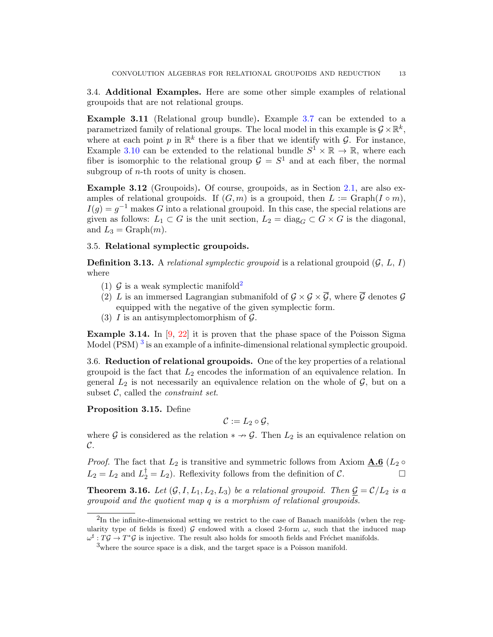<span id="page-12-0"></span>3.4. Additional Examples. Here are some other simple examples of relational groupoids that are not relational groups.

Example 3.11 (Relational group bundle). Example [3.7](#page-8-1) can be extended to a parametrized family of relational groups. The local model in this example is  $\mathcal{G} \times \mathbb{R}^k$ , where at each point p in  $\mathbb{R}^k$  there is a fiber that we identify with G. For instance, Example [3.10](#page-11-0) can be extended to the relational bundle  $S^1 \times \mathbb{R} \to \mathbb{R}$ , where each fiber is isomorphic to the relational group  $\mathcal{G} = S^1$  and at each fiber, the normal subgroup of  $n$ -th roots of unity is chosen.

Example 3.12 (Groupoids). Of course, groupoids, as in Section [2.1,](#page-3-2) are also examples of relational groupoids. If  $(G, m)$  is a groupoid, then  $L := \text{Graph}(I \circ m)$ ,  $I(g) = g^{-1}$  makes G into a relational groupoid. In this case, the special relations are given as follows:  $L_1 \subset G$  is the unit section,  $L_2 = \text{diag}_G \subset G \times G$  is the diagonal, and  $L_3 = \text{Graph}(m)$ .

### <span id="page-12-1"></span>3.5. Relational symplectic groupoids.

**Definition 3.13.** A relational symplectic groupoid is a relational groupoid  $(G, L, I)$ where

- (1)  $\mathcal G$  is a weak symplectic manifold<sup>[2](#page-12-3)</sup>
- (2) L is an immersed Lagrangian submanifold of  $\mathcal{G} \times \mathcal{G} \times \overline{\mathcal{G}}$ , where  $\overline{\mathcal{G}}$  denotes  $\mathcal{G}$ equipped with the negative of the given symplectic form.
- (3) I is an antisymplectomorphism of  $\mathcal{G}$ .

<span id="page-12-5"></span>**Example 3.14.** In  $[9, 22]$  $[9, 22]$  $[9, 22]$  it is proven that the phase space of the Poisson Sigma Model  $(PSM)^3$  $(PSM)^3$  is an example of a infinite-dimensional relational symplectic groupoid.

<span id="page-12-2"></span>3.6. Reduction of relational groupoids. One of the key properties of a relational groupoid is the fact that  $L_2$  encodes the information of an equivalence relation. In general  $L_2$  is not necessarily an equivalence relation on the whole of  $G$ , but on a subset  $C$ , called the *constraint set*.

<span id="page-12-6"></span>Proposition 3.15. Define

$$
\mathcal{C}:=L_2\circ\mathcal{G},
$$

where G is considered as the relation  $* \rightarrow \mathcal{G}$ . Then  $L_2$  is an equivalence relation on  $\mathcal{C}.$ 

*Proof.* The fact that  $L_2$  is transitive and symmetric follows from Axiom  $\mathbf{A.6}$  ( $L_2 \circ$  $L_2 = L_2$  and  $L_2^{\dagger} = L_2$ ). Reflexivity follows from the definition of C.

**Theorem 3.16.** Let  $(G, I, L_1, L_2, L_3)$  be a relational groupoid. Then  $\underline{G} = \mathcal{C}/L_2$  is a groupoid and the quotient map q is a morphism of relational groupoids.

<span id="page-12-3"></span><sup>&</sup>lt;sup>2</sup>In the infinite-dimensional setting we restrict to the case of Banach manifolds (when the regularity type of fields is fixed) G endowed with a closed 2-form  $\omega$ , such that the induced map  $\omega^{\sharp}: T \mathcal{G} \to T^* \mathcal{G}$  is injective. The result also holds for smooth fields and Fréchet manifolds.

<span id="page-12-4"></span> $3<sup>3</sup>$  where the source space is a disk, and the target space is a Poisson manifold.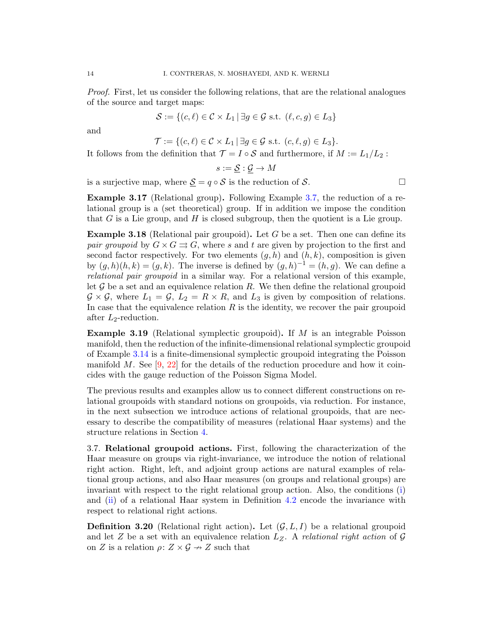Proof. First, let us consider the following relations, that are the relational analogues of the source and target maps:

$$
\mathcal{S} := \{(c, \ell) \in \mathcal{C} \times L_1 \mid \exists g \in \mathcal{G} \text{ s.t. } (\ell, c, g) \in L_3\}
$$

and

 $\mathcal{T} := \{ (c, \ell) \in \mathcal{C} \times L_1 \mid \exists g \in \mathcal{G} \text{ s.t. } (c, \ell, g) \in L_3 \}.$ 

It follows from the definition that  $\mathcal{T} = I \circ \mathcal{S}$  and furthermore, if  $M := L_1/L_2$ :

 $s := \mathcal{S} : \mathcal{G} \to M$ 

is a surjective map, where  $\underline{S} = q \circ S$  is the reduction of S.

Example 3.17 (Relational group). Following Example [3.7,](#page-8-1) the reduction of a relational group is a (set theoretical) group. If in addition we impose the condition that  $G$  is a Lie group, and  $H$  is closed subgroup, then the quotient is a Lie group.

**Example 3.18** (Relational pair groupoid). Let G be a set. Then one can define its pair groupoid by  $G \times G \rightrightarrows G$ , where s and t are given by projection to the first and second factor respectively. For two elements  $(g, h)$  and  $(h, k)$ , composition is given by  $(g, h)(h, k) = (g, k)$ . The inverse is defined by  $(g, h)^{-1} = (h, g)$ . We can define a relational pair groupoid in a similar way. For a relational version of this example, let  $\mathcal G$  be a set and an equivalence relation R. We then define the relational groupoid  $\mathcal{G} \times \mathcal{G}$ , where  $L_1 = \mathcal{G}$ ,  $L_2 = R \times R$ , and  $L_3$  is given by composition of relations. In case that the equivalence relation  $R$  is the identity, we recover the pair groupoid after  $L_2$ -reduction.

**Example 3.19** (Relational symplectic groupoid). If  $M$  is an integrable Poisson manifold, then the reduction of the infinite-dimensional relational symplectic groupoid of Example [3.14](#page-12-5) is a finite-dimensional symplectic groupoid integrating the Poisson manifold M. See  $[9, 22]$  $[9, 22]$  $[9, 22]$  for the details of the reduction procedure and how it coincides with the gauge reduction of the Poisson Sigma Model.

The previous results and examples allow us to connect different constructions on relational groupoids with standard notions on groupoids, via reduction. For instance, in the next subsection we introduce actions of relational groupoids, that are necessary to describe the compatibility of measures (relational Haar systems) and the structure relations in Section [4.](#page-14-0)

<span id="page-13-0"></span>3.7. Relational groupoid actions. First, following the characterization of the Haar measure on groups via right-invariance, we introduce the notion of relational right action. Right, left, and adjoint group actions are natural examples of relational group actions, and also Haar measures (on groups and relational groups) are invariant with respect to the right relational group action. Also, the conditions [\(i\)](#page-15-0) and [\(ii\)](#page-15-1) of a relational Haar system in Definition [4.2](#page-15-2) encode the invariance with respect to relational right actions.

**Definition 3.20** (Relational right action). Let  $(\mathcal{G}, L, I)$  be a relational groupoid and let Z be a set with an equivalence relation  $L_z$ . A relational right action of G on Z is a relation  $\rho: Z \times G \rightarrow Z$  such that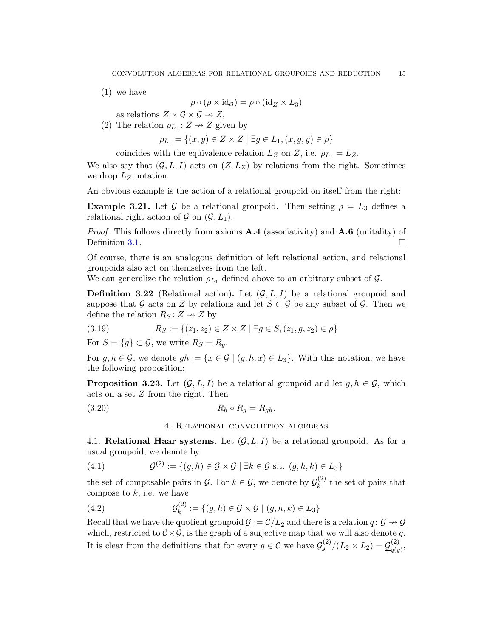(1) we have

$$
\rho \circ (\rho \times \mathrm{id}_{\mathcal{G}}) = \rho \circ (\mathrm{id}_{Z} \times L_{3})
$$

as relations  $Z \times \mathcal{G} \times \mathcal{G} \rightarrow Z$ ,

(2) The relation  $\rho_{L_1}: Z \to Z$  given by

 $\rho_{L_1} = \{(x, y) \in Z \times Z \mid \exists g \in L_1, (x, g, y) \in \rho\}$ 

coincides with the equivalence relation  $L_Z$  on Z, i.e.  $\rho_{L_1} = L_Z$ .

We also say that  $(\mathcal{G}, L, I)$  acts on  $(Z, L_Z)$  by relations from the right. Sometimes we drop  $L_z$  notation.

An obvious example is the action of a relational groupoid on itself from the right:

**Example 3.21.** Let G be a relational groupoid. Then setting  $\rho = L_3$  defines a relational right action of  $\mathcal G$  on  $(\mathcal G, L_1)$ .

*Proof.* This follows directly from axioms  $\mathbf{A.4}$  (associativity) and  $\mathbf{A.6}$  (unitality) of Definition [3.1.](#page-6-2)  $\Box$ 

Of course, there is an analogous definition of left relational action, and relational groupoids also act on themselves from the left.

We can generalize the relation  $\rho_{L_1}$  defined above to an arbitrary subset of  $\mathcal{G}$ .

**Definition 3.22** (Relational action). Let  $(G, L, I)$  be a relational groupoid and suppose that G acts on Z by relations and let  $S \subset \mathcal{G}$  be any subset of G. Then we define the relation  $R_S: Z \rightarrow Z$  by

(3.19) 
$$
R_S := \{(z_1, z_2) \in Z \times Z \mid \exists g \in S, (z_1, g, z_2) \in \rho\}
$$

For  $S = \{g\} \subset \mathcal{G}$ , we write  $R_S = R_q$ .

For  $g, h \in \mathcal{G}$ , we denote  $gh := \{x \in \mathcal{G} \mid (g, h, x) \in L_3\}$ . With this notation, we have the following proposition:

**Proposition 3.23.** Let  $(G, L, I)$  be a relational groupoid and let  $g, h \in G$ , which acts on a set Z from the right. Then

<span id="page-14-0"></span>
$$
(3.20) \t\t R_h \circ R_g = R_{gh}.
$$

4. Relational convolution algebras

<span id="page-14-1"></span>4.1. Relational Haar systems. Let  $(\mathcal{G}, L, I)$  be a relational groupoid. As for a usual groupoid, we denote by

(4.1) 
$$
\mathcal{G}^{(2)} := \{(g, h) \in \mathcal{G} \times \mathcal{G} \mid \exists k \in \mathcal{G} \text{ s.t. } (g, h, k) \in L_3\}
$$

the set of composable pairs in  $\mathcal{G}$ . For  $k \in \mathcal{G}$ , we denote by  $\mathcal{G}_k^{(2)}$  $\kappa^{(2)}$  the set of pairs that compose to  $k$ , i.e. we have

(4.2) 
$$
\mathcal{G}_k^{(2)} := \{ (g, h) \in \mathcal{G} \times \mathcal{G} \mid (g, h, k) \in L_3 \}
$$

Recall that we have the quotient groupoid  $\mathcal{G} := \mathcal{C}/L_2$  and there is a relation  $q: \mathcal{G} \to \mathcal{G}$ which, restricted to  $C \times \mathcal{G}$ , is the graph of a surjective map that we will also denote q. It is clear from the definitions that for every  $g \in \mathcal{C}$  we have  $\mathcal{G}_g^{(2)}/(L_2 \times L_2) = \mathcal{G}_{g(g)}^{(2)}$  $\frac{q(g)}{q(g)},$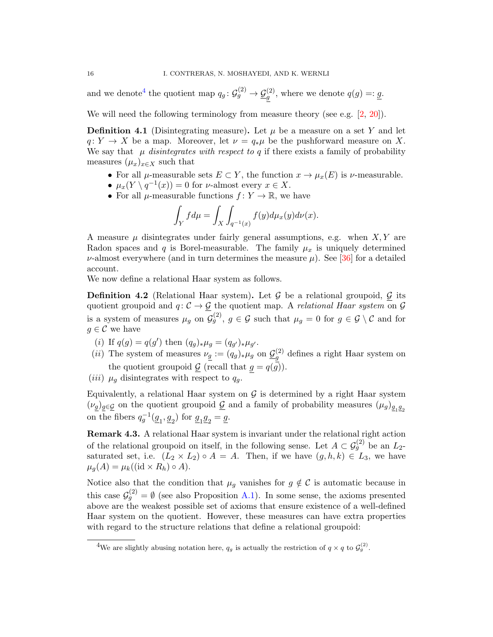and we denote<sup>[4](#page-15-3)</sup> the quotient map  $q_g: \mathcal{G}_g^{(2)} \to \mathcal{G}_g^{(2)}$ , where we denote  $q(g) =: g$ .

We will need the following terminology from measure theory (see e.g. [\[2,](#page-24-4) [20\]](#page-25-25)).

<span id="page-15-4"></span>**Definition 4.1** (Disintegrating measure). Let  $\mu$  be a measure on a set Y and let  $q: Y \to X$  be a map. Moreover, let  $\nu = q_*\mu$  be the pushforward measure on X. We say that  $\mu$  disintegrates with respect to q if there exists a family of probability measures  $(\mu_x)_{x\in X}$  such that

- For all  $\mu$ -measurable sets  $E \subset Y$ , the function  $x \to \mu_x(E)$  is  $\nu$ -measurable.
- $\mu_x(Y \setminus q^{-1}(x)) = 0$  for *v*-almost every  $x \in X$ .
- For all  $\mu$ -measurable functions  $f: Y \to \mathbb{R}$ , we have

$$
\int_Y f d\mu = \int_X \int_{q^{-1}(x)} f(y) d\mu_x(y) d\nu(x).
$$

A measure  $\mu$  disintegrates under fairly general assumptions, e.g. when  $X, Y$  are Radon spaces and q is Borel-measurable. The family  $\mu_x$  is uniquely determined  $\nu$ -almost everywhere (and in turn determines the measure  $\mu$ ). See [\[36\]](#page-26-6) for a detailed account.

We now define a relational Haar system as follows.

<span id="page-15-2"></span>**Definition 4.2** (Relational Haar system). Let G be a relational groupoid, G its quotient groupoid and  $q: \mathcal{C} \to \mathcal{G}$  the quotient map. A *relational Haar system* on  $\mathcal{G}$ is a system of measures  $\mu_g$  on  $\mathcal{G}_g^{(2)}$ ,  $g \in \mathcal{G}$  such that  $\mu_g = 0$  for  $g \in \mathcal{G} \setminus \mathcal{C}$  and for  $q \in \mathcal{C}$  we have

- <span id="page-15-0"></span>(*i*) If  $q(g) = q(g')$  then  $(q_g)_*\mu_g = (q_{g'})_*\mu_{g'}.$
- <span id="page-15-1"></span>(*ii*) The system of measures  $\nu_g := (q_g)_*\mu_g$  on  $\underline{\mathcal{G}}_g^{(2)}$  $g_g^{(2)}$  defines a right Haar system on the quotient groupoid  $\underline{\mathcal{G}}$  (recall that  $g = q(\overline{\mathcal{G}})$ ).
- (*iii*)  $\mu_q$  disintegrates with respect to  $q_q$ .

Equivalently, a relational Haar system on  $\mathcal G$  is determined by a right Haar system  $(\nu_{\underline{g}})_{\underline{g}\in \underline{\mathcal{G}}}$  on the quotient groupoid  $\underline{\mathcal{G}}$  and a family of probability measures  $(\mu_g)_{\underline{g}_1\underline{g}_2}$ on the fibers  $q_g^{-1}(\underline{g}_1, \underline{g}_2)$  for  $\underline{g}_1 \underline{g}_2 = \underline{g}$ .

Remark 4.3. A relational Haar system is invariant under the relational right action of the relational groupoid on itself, in the following sense. Let  $A \subset \mathcal{G}_g^{(2)}$  be an  $L_2$ saturated set, i.e.  $(L_2 \times L_2) \circ A = A$ . Then, if we have  $(g, h, k) \in L_3$ , we have  $\mu_g(A) = \mu_k((\text{id} \times R_h) \circ A).$ 

Notice also that the condition that  $\mu_g$  vanishes for  $g \notin \mathcal{C}$  is automatic because in this case  $\mathcal{G}_{g}^{(2)} = \emptyset$  (see also Proposition [A.1\)](#page-23-2). In some sense, the axioms presented above are the weakest possible set of axioms that ensure existence of a well-defined Haar system on the quotient. However, these measures can have extra properties with regard to the structure relations that define a relational groupoid:

<span id="page-15-3"></span><sup>&</sup>lt;sup>4</sup>We are slightly abusing notation here,  $q_g$  is actually the restriction of  $q \times q$  to  $\mathcal{G}_g^{(2)}$ .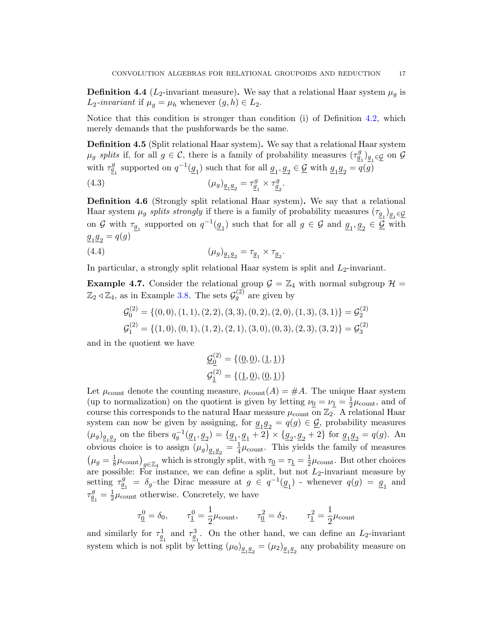**Definition 4.4** ( $L_2$ -invariant measure). We say that a relational Haar system  $\mu_q$  is  $L_2$ -invariant if  $\mu_g = \mu_h$  whenever  $(g, h) \in L_2$ .

Notice that this condition is stronger than condition (i) of Definition [4.2,](#page-15-2) which merely demands that the pushforwards be the same.

Definition 4.5 (Split relational Haar system). We say that a relational Haar system  $\mu_g$  splits if, for all  $g \in \mathcal{C}$ , there is a family of probability measures  $(\tau_{\underline{g}_1}^g)_{\underline{g}_1 \in \underline{\mathcal{G}}}$  on  $\mathcal{G}$ with  $\tau_{\underline{g}_1}^g$  supported on  $q^{-1}(\underline{g}_1)$  such that for all  $\underline{g}_1, \underline{g}_2 \in \underline{\mathcal{G}}$  with  $\underline{g}_1 \underline{g}_2 = q(g)$ 

(4.3) 
$$
(\mu_g)_{\underline{g_1 g_2}} = \tau_{\underline{g_1}}^g \times \tau_{\underline{g_2}}^g.
$$

<span id="page-16-0"></span>Definition 4.6 (Strongly split relational Haar system). We say that a relational Haar system  $\mu_g$  splits strongly if there is a family of probability measures  $(\tau_{\underline{g}_1})_{\underline{g}_1 \in \underline{\mathcal{G}}}$ on G with  $\tau_{\underline{g}_1}$  supported on  $q^{-1}(\underline{g}_1)$  such that for all  $g \in \mathcal{G}$  and  $\underline{g}_1, \underline{g}_2 \in \underline{\mathcal{G}}$  with  $g_1 g_2 = q(g)$ 

(4.4) 
$$
(\mu_g)_{\underline{g_1 g_2}} = \tau_{\underline{g_1}} \times \tau_{\underline{g_2}}.
$$

In particular, a strongly split relational Haar system is split and  $L_2$ -invariant.

**Example 4.7.** Consider the relational group  $\mathcal{G} = \mathbb{Z}_4$  with normal subgroup  $\mathcal{H} =$  $\mathbb{Z}_2 \triangleleft \mathbb{Z}_4$ , as in Example [3.8.](#page-11-1) The sets  $\mathcal{G}_g^{(2)}$  are given by

$$
G_0^{(2)} = \{ (0,0), (1,1), (2,2), (3,3), (0,2), (2,0), (1,3), (3,1) \} = G_2^{(2)}
$$
  

$$
G_1^{(2)} = \{ (1,0), (0,1), (1,2), (2,1), (3,0), (0,3), (2,3), (3,2) \} = G_3^{(2)}
$$

and in the quotient we have

$$
\underline{\mathcal{G}}_{\underline{0}}^{(2)} = \{(\underline{0}, \underline{0}), (\underline{1}, \underline{1})\}
$$
  

$$
\mathcal{G}_{\underline{1}}^{(2)} = \{(\underline{1}, \underline{0}), (\underline{0}, \underline{1})\}
$$

Let  $\mu_{\text{count}}$  denote the counting measure,  $\mu_{\text{count}}(A) = \#A$ . The unique Haar system (up to normalization) on the quotient is given by letting  $\nu_{\underline{0}} = \nu_{\underline{1}} = \frac{1}{2}$  $\frac{1}{2}\mu_{\text{count}}$ , and of course this corresponds to the natural Haar measure  $\mu_{\text{count}}$  on  $\mathbb{Z}_2$ . A relational Haar system can now be given by assigning, for  $g_1g_2 = q(g) \in \mathcal{G}$ , probability measures  $(\mu_g)_{g_1g_2}$  on the fibers  $q_g^{-1}(g_1, g_2) = \{g_1, g_1 + 2\} \times \{g_2, g_2 + 2\}$  for  $g_1g_2 = q(g)$ . An obvious choice is to assign  $(\mu_g)_{g_1 g_2} = \frac{1}{4}$  $\frac{1}{4}\mu_{\text{count}}$ . This yields the family of measures  $(\mu_g = \frac{1}{8})$  $\frac{1}{8}\mu_{\text{count}}\big|_{g\in\mathbb{Z}_4}$  which is strongly split, with  $\tau_{\underline{0}} = \tau_{\underline{1}} = \frac{1}{2}$  $\frac{1}{2}\mu_{\text{count}}$ . But other choices are possible: For instance, we can define a split, but not  $L_2$ -invariant measure by setting  $\tau_{\underline{g}_1}^g = \delta_g$ -the Dirac measure at  $g \in q^{-1}(\underline{g}_1)$  - whenever  $q(g) = \underline{g}_1$  and  $\tau_{\underline{g}_1}^g = \frac{1}{2}$  $\frac{1}{2}\mu_{\text{count}}$  otherwise. Concretely, we have

$$
\tau_{\underline{0}}^0 = \delta_0, \qquad \tau_{\underline{1}}^0 = \frac{1}{2}\mu_{\text{count}}, \qquad \tau_{\underline{0}}^2 = \delta_2, \qquad \tau_{\underline{1}}^2 = \frac{1}{2}\mu_{\text{count}}
$$

and similarly for  $\tau_{g}^1$  and  $\tau_{g}^3$ . On the other hand, we can define an L<sub>2</sub>-invariant system which is not split by letting  $(\mu_0)_{g_1g_2} = (\mu_2)_{g_1g_2}$  any probability measure on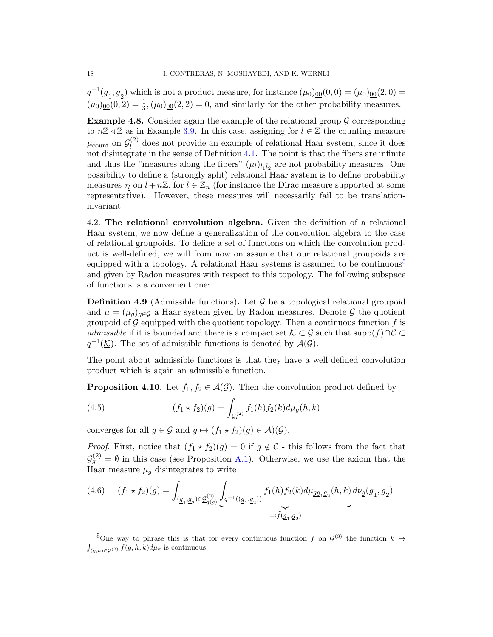$q^{-1}(\underline{g}_1, \underline{g}_2)$  which is not a product measure, for instance  $(\mu_0)_{\underline{00}}(0,0) = (\mu_0)_{\underline{00}}(2,0) =$  $(\mu_0)_{\underline{00}}(0,2) = \frac{1}{3}, (\mu_0)_{\underline{00}}(2,2) = 0$ , and similarly for the other probability measures.

**Example 4.8.** Consider again the example of the relational group  $\mathcal G$  corresponding to  $n\mathbb{Z} \triangleleft \mathbb{Z}$  as in Example [3.9.](#page-11-2) In this case, assigning for  $l \in \mathbb{Z}$  the counting measure  $\mu_\text{count}$  on  $\mathcal{G}_l^{(2)}$  $\ell_l^{(2)}$  does not provide an example of relational Haar system, since it does not disintegrate in the sense of Definition [4.1.](#page-15-4) The point is that the fibers are infinite and thus the "measures along the fibers"  $(\mu_l)_{\underline{l}_1 l_2}$  are not probability measures. One possibility to define a (strongly split) relational Haar system is to define probability measures  $\tau_l$  on  $l + n\mathbb{Z}$ , for  $\underline{l} \in \mathbb{Z}_n$  (for instance the Dirac measure supported at some representative). However, these measures will necessarily fail to be translationinvariant.

<span id="page-17-0"></span>4.2. The relational convolution algebra. Given the definition of a relational Haar system, we now define a generalization of the convolution algebra to the case of relational groupoids. To define a set of functions on which the convolution product is well-defined, we will from now on assume that our relational groupoids are equipped with a topology. A relational Haar systems is assumed to be continuous<sup>[5](#page-17-1)</sup> and given by Radon measures with respect to this topology. The following subspace of functions is a convenient one:

**Definition 4.9** (Admissible functions). Let  $\mathcal G$  be a topological relational groupoid and  $\mu = (\mu_q)_{q \in \mathcal{G}}$  a Haar system given by Radon measures. Denote  $\mathcal{G}$  the quotient groupoid of  $G$  equipped with the quotient topology. Then a continuous function  $f$  is admissible if it is bounded and there is a compact set  $\underline{\mathcal{K}} \subset \underline{\mathcal{G}}$  such that supp $(f) \cap C \subset$  $q^{-1}(\underline{\mathcal{K}})$ . The set of admissible functions is denoted by  $\mathcal{A}(\mathcal{G})$ .

The point about admissible functions is that they have a well-defined convolution product which is again an admissible function.

**Proposition 4.10.** Let  $f_1, f_2 \in \mathcal{A}(\mathcal{G})$ . Then the convolution product defined by

<span id="page-17-2"></span>(4.5) 
$$
(f_1 * f_2)(g) = \int_{\mathcal{G}_g^{(2)}} f_1(h) f_2(k) d\mu_g(h, k)
$$

converges for all  $g \in \mathcal{G}$  and  $g \mapsto (f_1 \star f_2)(g) \in \mathcal{A}(\mathcal{G})$ .

*Proof.* First, notice that  $(f_1 \star f_2)(g) = 0$  if  $g \notin C$  - this follows from the fact that  $\mathcal{G}_{g}^{(2)} = \emptyset$  in this case (see Proposition [A.1\)](#page-23-2). Otherwise, we use the axiom that the Haar measure  $\mu_g$  disintegrates to write

$$
(4.6) \qquad (f_1 \star f_2)(g) = \int_{(\underline{g}_1, \underline{g}_2) \in \underline{\mathcal{G}}_{q(g)}^{(2)}} \underbrace{\int_{q^{-1}((\underline{g}_1, \underline{g}_2))} f_1(h) f_2(k) d\mu_{\underline{g}\underline{g}_1\underline{g}_2}(h,k) d\nu_{\underline{g}}(\underline{g}_1, \underline{g}_2)}_{=: \tilde{f}(\underline{g}_1, \underline{g}_2)}.
$$

<span id="page-17-1"></span><sup>5</sup>One way to phrase this is that for every continuous function f on  $\mathcal{G}^{(3)}$  the function  $k \mapsto$  $\int_{(g,h)\in\mathcal{G}^{(2)}} f(g,h,k)d\mu_k$  is continuous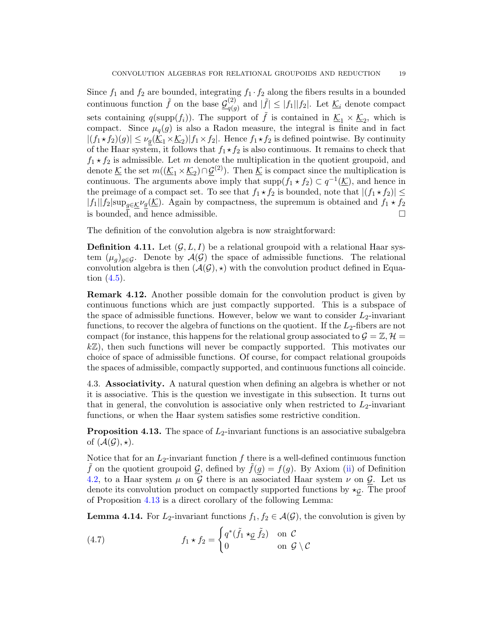Since  $f_1$  and  $f_2$  are bounded, integrating  $f_1 \cdot f_2$  along the fibers results in a bounded continuous function  $\tilde{f}$  on the base  $\mathcal{G}^{(2)}_{a(c)}$  $\binom{2}{q(g)}$  and  $|\tilde{f}| \leq |f_1||f_2|$ . Let  $\underline{\mathcal{K}}_i$  denote compact sets containing  $q(\text{supp}(f_i))$ . The support of  $\tilde{f}$  is contained in  $\underline{\mathcal{K}}_1 \times \underline{\mathcal{K}}_2$ , which is compact. Since  $\mu_q(g)$  is also a Radon measure, the integral is finite and in fact  $|(f_1 \star f_2)(g)| \leq \nu_g(\underline{\mathcal{K}}_1 \times \underline{\mathcal{K}}_2)|f_1 \times f_2|$ . Hence  $f_1 \star f_2$  is defined pointwise. By continuity of the Haar system, it follows that  $f_1 \star f_2$  is also continuous. It remains to check that  $f_1 \star f_2$  is admissible. Let m denote the multiplication in the quotient groupoid, and denote  $\underline{\mathcal{K}}$  the set  $m((\underline{\mathcal{K}}_1 \times \underline{\mathcal{K}}_2) \cap \underline{\mathcal{G}}^{(2)})$ . Then  $\underline{\mathcal{K}}$  is compact since the multiplication is continuous. The arguments above imply that  $\text{supp}(f_1 \star f_2) \subset q^{-1}(\underline{\mathcal{K}})$ , and hence in the preimage of a compact set. To see that  $f_1 \star f_2$  is bounded, note that  $|(f_1 \star f_2)| \le$  $|f_1||f_2|\text{sup}_{q\in\mathcal{K}}\nu_g(\underline{\mathcal{K}})$ . Again by compactness, the supremum is obtained and  $f_1 * f_2$ is bounded, and hence admissible.

The definition of the convolution algebra is now straightforward:

**Definition 4.11.** Let  $(G, L, I)$  be a relational groupoid with a relational Haar system  $(\mu_q)_{q\in\mathcal{G}}$ . Denote by  $\mathcal{A}(\mathcal{G})$  the space of admissible functions. The relational convolution algebra is then  $(\mathcal{A}(\mathcal{G}), \star)$  with the convolution product defined in Equation [\(4.5\)](#page-17-2).

Remark 4.12. Another possible domain for the convolution product is given by continuous functions which are just compactly supported. This is a subspace of the space of admissible functions. However, below we want to consider  $L_2$ -invariant functions, to recover the algebra of functions on the quotient. If the  $L_2$ -fibers are not compact (for instance, this happens for the relational group associated to  $\mathcal{G} = \mathbb{Z}, \mathcal{H} =$  $k\mathbb{Z}$ ), then such functions will never be compactly supported. This motivates our choice of space of admissible functions. Of course, for compact relational groupoids the spaces of admissible, compactly supported, and continuous functions all coincide.

<span id="page-18-0"></span>4.3. Associativity. A natural question when defining an algebra is whether or not it is associative. This is the question we investigate in this subsection. It turns out that in general, the convolution is associative only when restricted to  $L_2$ -invariant functions, or when the Haar system satisfies some restrictive condition.

<span id="page-18-1"></span>**Proposition 4.13.** The space of  $L_2$ -invariant functions is an associative subalgebra of  $(\mathcal{A}(\mathcal{G}), \star).$ 

Notice that for an  $L_2$ -invariant function f there is a well-defined continuous function f on the quotient groupoid G, defined by  $\tilde{f}(g) = f(g)$ . By Axiom [\(ii\)](#page-15-1) of Definition [4.2,](#page-15-2) to a Haar system  $\mu$  on G there is an associated Haar system  $\nu$  on G. Let us denote its convolution product on compactly supported functions by  $\star_{\mathcal{G}}$ . The proof of Proposition [4.13](#page-18-1) is a direct corollary of the following Lemma:

<span id="page-18-3"></span>**Lemma 4.14.** For  $L_2$ -invariant functions  $f_1, f_2 \in \mathcal{A}(\mathcal{G})$ , the convolution is given by

<span id="page-18-2"></span>(4.7) 
$$
f_1 \star f_2 = \begin{cases} q^*(\tilde{f}_1 \star_{\mathcal{G}} \tilde{f}_2) & \text{on } \mathcal{C} \\ 0 & \text{on } \mathcal{G} \setminus \mathcal{C} \end{cases}
$$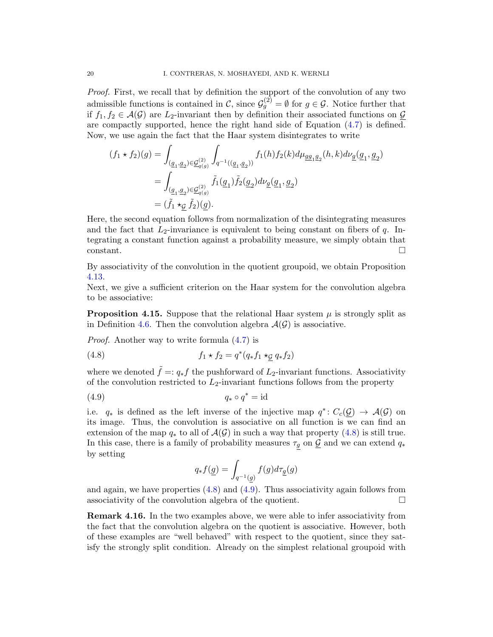Proof. First, we recall that by definition the support of the convolution of any two admissible functions is contained in C, since  $\mathcal{G}_{g}^{(2)} = \emptyset$  for  $g \in \mathcal{G}$ . Notice further that if  $f_1, f_2 \in \mathcal{A}(\mathcal{G})$  are L<sub>2</sub>-invariant then by definition their associated functions on  $\mathcal{G}$ are compactly supported, hence the right hand side of Equation [\(4.7\)](#page-18-2) is defined. Now, we use again the fact that the Haar system disintegrates to write

$$
\begin{aligned} (f_1\star f_2)(g) &= \int_{(\underline{g}_1,\underline{g}_2)\in \underline{\mathcal{G}}_{q(g)}^{(2)}} \int_{q^{-1}((\underline{g}_1,\underline{g}_2))} f_1(h) f_2(k) d\mu_{\underline{g}\underline{g}_1\underline{g}_2}(h,k) d\nu_{\underline{g}}(\underline{g}_1,\underline{g}_2) \\ &= \int_{(\underline{g}_1,\underline{g}_2)\in \underline{\mathcal{G}}_{q(g)}^{(2)}} \tilde{f}_1(\underline{g}_1) \tilde{f}_2(\underline{g}_2) d\nu_{\underline{g}}(\underline{g}_1,\underline{g}_2) \\ &= (\tilde{f}_1\star_{\mathcal{G}} \tilde{f}_2)(g). \end{aligned}
$$

Here, the second equation follows from normalization of the disintegrating measures and the fact that  $L_2$ -invariance is equivalent to being constant on fibers of q. Integrating a constant function against a probability measure, we simply obtain that constant.

By associativity of the convolution in the quotient groupoid, we obtain Proposition [4.13.](#page-18-1)

Next, we give a sufficient criterion on the Haar system for the convolution algebra to be associative:

**Proposition 4.15.** Suppose that the relational Haar system  $\mu$  is strongly split as in Definition [4.6.](#page-16-0) Then the convolution algebra  $\mathcal{A}(\mathcal{G})$  is associative.

Proof. Another way to write formula [\(4.7\)](#page-18-2) is

<span id="page-19-0"></span>(4.8) 
$$
f_1 \star f_2 = q^*(q_* f_1 \star_{\mathcal{G}} q_* f_2)
$$

where we denoted  $\tilde{f} =: q_* f$  the pushforward of  $L_2$ -invariant functions. Associativity of the convolution restricted to  $L_2$ -invariant functions follows from the property

$$
(4.9) \t\t q_* \circ q^* = id
$$

i.e.  $q_*$  is defined as the left inverse of the injective map  $q^*: C_c(\mathcal{G}) \to \mathcal{A}(\mathcal{G})$  on its image. Thus, the convolution is associative on all function is we can find an extension of the map  $q_*$  to all of  $\mathcal{A}(\mathcal{G})$  in such a way that property  $(4.8)$  is still true. In this case, there is a family of probability measures  $\tau_g$  on  $\underline{\mathcal{G}}$  and we can extend  $q_*$ by setting

<span id="page-19-1"></span>
$$
q_* f(\underline{g}) = \int_{q^{-1}(\underline{g})} f(g) d\tau_{\underline{g}}(g)
$$

and again, we have properties  $(4.8)$  and  $(4.9)$ . Thus associativity again follows from associativity of the convolution algebra of the quotient.  $\Box$ 

**Remark 4.16.** In the two examples above, we were able to infer associativity from the fact that the convolution algebra on the quotient is associative. However, both of these examples are "well behaved" with respect to the quotient, since they satisfy the strongly split condition. Already on the simplest relational groupoid with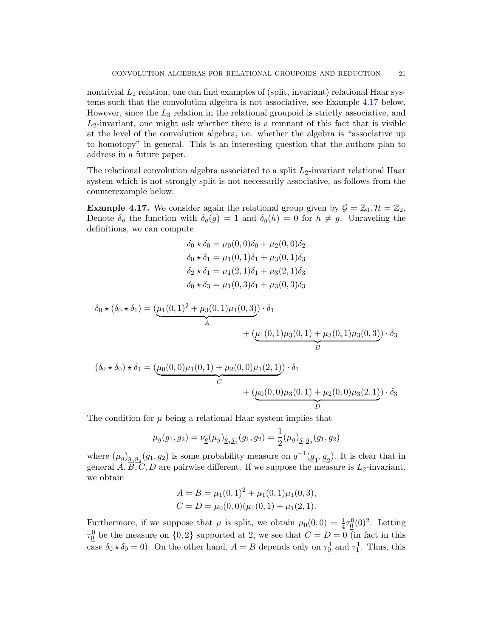nontrivial  $L_2$  relation, one can find examples of (split, invariant) relational Haar systems such that the convolution algebra is not associative, see Example [4.17](#page-20-0) below. However, since the  $L_3$  relation in the relational groupoid is strictly associative, and  $L_2$ -invariant, one might ask whether there is a remnant of this fact that is visible at the level of the convolution algebra, i.e. whether the algebra is "associative up to homotopy" in general. This is an interesting question that the authors plan to address in a future paper.

The relational convolution algebra associated to a split  $L_2$ -invariant relational Haar system which is not strongly split is not necessarily associative, as follows from the counterexample below.

<span id="page-20-0"></span>**Example 4.17.** We consider again the relational group given by  $\mathcal{G} = \mathbb{Z}_4, \mathcal{H} = \mathbb{Z}_2$ . Denote  $\delta_g$  the function with  $\delta_g(g) = 1$  and  $\delta_g(h) = 0$  for  $h \neq g$ . Unraveling the definitions, we can compute

$$
\delta_0 * \delta_0 = \mu_0(0, 0)\delta_0 + \mu_2(0, 0)\delta_2
$$
  

$$
\delta_0 * \delta_1 = \mu_1(0, 1)\delta_1 + \mu_3(0, 1)\delta_3
$$
  

$$
\delta_2 * \delta_1 = \mu_1(2, 1)\delta_1 + \mu_3(2, 1)\delta_3
$$
  

$$
\delta_0 * \delta_3 = \mu_1(0, 3)\delta_1 + \mu_3(0, 3)\delta_3
$$

$$
\delta_0 \star (\delta_0 \star \delta_1) = (\underbrace{\mu_1(0,1)^2 + \mu_3(0,1)\mu_1(0,3)}_A) \cdot \delta_1 + (\underbrace{\mu_1(0,1)\mu_3(0,1) + \mu_3(0,1)\mu_3(0,3)}_B) \cdot \delta_3
$$

$$
(\delta_0 * \delta_0) * \delta_1 = (\mu_0(0,0)\mu_1(0,1) + \mu_2(0,0)\mu_1(2,1)) \cdot \delta_1 + (\mu_0(0,0)\mu_3(0,1) + \mu_2(0,0)\mu_3(2,1)) \cdot \delta_3 D
$$

The condition for  $\mu$  being a relational Haar system implies that

$$
\mu_g(g_1, g_2) = \nu_{\underline{g}}(\mu_g)_{\underline{g_1} \underline{g_2}}(g_1, g_2) = \frac{1}{2}(\mu_g)_{\underline{g_1} \underline{g_2}}(g_1, g_2)
$$

where  $(\mu_g)_{g_1 g_2}(g_1, g_2)$  is some probability measure on  $q^{-1}(\underline{g}_1, \underline{g}_2)$ . It is clear that in general  $A, \overline{B}, \overline{C}, D$  are pairwise different. If we suppose the measure is  $L_2$ -invariant, we obtain

$$
A = B = \mu_1(0, 1)^2 + \mu_1(0, 1)\mu_1(0, 3),
$$
  
\n
$$
C = D = \mu_0(0, 0)(\mu_1(0, 1) + \mu_1(2, 1).
$$

Furthermore, if we suppose that  $\mu$  is split, we obtain  $\mu_0(0,0) = \frac{1}{4}\tau_0^0(0)^2$ . Letting  $\tau_0^0$  be the measure on  $\{0, 2\}$  supported at 2, we see that  $C = D = 0$  (in fact in this case  $\delta_0 \star \delta_0 = 0$ ). On the other hand,  $A = B$  depends only on  $\tau_0^1$  and  $\tau_1^1$ . Thus, this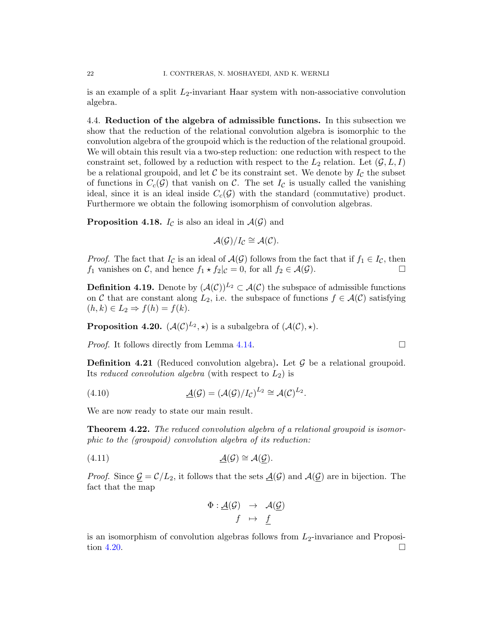is an example of a split  $L_2$ -invariant Haar system with non-associative convolution algebra.

<span id="page-21-0"></span>4.4. Reduction of the algebra of admissible functions. In this subsection we show that the reduction of the relational convolution algebra is isomorphic to the convolution algebra of the groupoid which is the reduction of the relational groupoid. We will obtain this result via a two-step reduction: one reduction with respect to the constraint set, followed by a reduction with respect to the  $L_2$  relation. Let  $(\mathcal{G}, L, I)$ be a relational groupoid, and let  $\mathcal C$  be its constraint set. We denote by  $I_{\mathcal C}$  the subset of functions in  $C_c(\mathcal{G})$  that vanish on C. The set  $I_c$  is usually called the vanishing ideal, since it is an ideal inside  $C_c(\mathcal{G})$  with the standard (commutative) product. Furthermore we obtain the following isomorphism of convolution algebras.

**Proposition 4.18.**  $I_{\mathcal{C}}$  is also an ideal in  $\mathcal{A}(\mathcal{G})$  and

$$
\mathcal{A}(\mathcal{G})/I_{\mathcal{C}} \cong \mathcal{A}(\mathcal{C}).
$$

*Proof.* The fact that  $I_{\mathcal{C}}$  is an ideal of  $\mathcal{A}(\mathcal{G})$  follows from the fact that if  $f_1 \in I_{\mathcal{C}}$ , then  $f_1$  vanishes on C, and hence  $f_1 \star f_2|_{\mathcal{C}} = 0$ , for all  $f_2 \in \mathcal{A}(\mathcal{G})$ .

**Definition 4.19.** Denote by  $(\mathcal{A}(\mathcal{C}))^{L_2} \subset \mathcal{A}(\mathcal{C})$  the subspace of admissible functions on C that are constant along  $L_2$ , i.e. the subspace of functions  $f \in \mathcal{A}(\mathcal{C})$  satisfying  $(h, k) \in L_2 \Rightarrow f(h) = f(k).$ 

<span id="page-21-1"></span>**Proposition 4.20.**  $(\mathcal{A}(\mathcal{C})^{L_2}, \star)$  is a subalgebra of  $(\mathcal{A}(\mathcal{C}), \star)$ .

Proof. It follows directly from Lemma [4.14.](#page-18-3)

**Definition 4.21** (Reduced convolution algebra). Let  $\mathcal G$  be a relational groupoid. Its reduced convolution algebra (with respect to  $L_2$ ) is

(4.10) 
$$
\underline{\mathcal{A}}(\mathcal{G}) = (\mathcal{A}(\mathcal{G})/I_{\mathcal{C}})^{L_2} \cong \mathcal{A}(\mathcal{C})^{L_2}.
$$

We are now ready to state our main result.

**Theorem 4.22.** The reduced convolution algebra of a relational groupoid is isomorphic to the (groupoid) convolution algebra of its reduction:

(4.11) A(G) ∼= A(G).

*Proof.* Since  $\underline{\mathcal{G}} = \mathcal{C}/L_2$ , it follows that the sets  $\underline{\mathcal{A}}(\mathcal{G})$  and  $\mathcal{A}(\underline{\mathcal{G}})$  are in bijection. The fact that the map

$$
\begin{array}{rcl} \Phi : \underline{\mathcal{A}}(\mathcal{G}) & \to & \mathcal{A}(\underline{\mathcal{G}}) \\ f & \mapsto & \underline{f} \end{array}
$$

is an isomorphism of convolution algebras follows from  $L_2$ -invariance and Proposi-tion [4.20.](#page-21-1)

$$
\qquad \qquad \Box
$$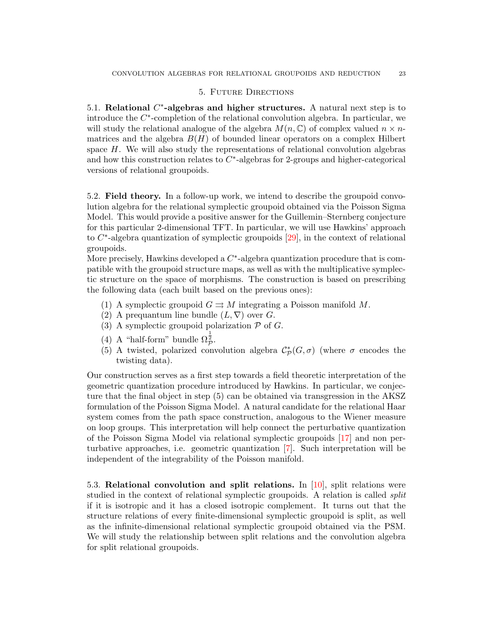## 5. Future Directions

<span id="page-22-1"></span><span id="page-22-0"></span>5.1. Relational  $C^*$ -algebras and higher structures. A natural next step is to introduce the  $C^*$ -completion of the relational convolution algebra. In particular, we will study the relational analogue of the algebra  $M(n, \mathbb{C})$  of complex valued  $n \times n$ matrices and the algebra  $B(H)$  of bounded linear operators on a complex Hilbert space  $H$ . We will also study the representations of relational convolution algebras and how this construction relates to  $C^*$ -algebras for 2-groups and higher-categorical versions of relational groupoids.

<span id="page-22-2"></span>5.2. Field theory. In a follow-up work, we intend to describe the groupoid convolution algebra for the relational symplectic groupoid obtained via the Poisson Sigma Model. This would provide a positive answer for the Guillemin–Sternberg conjecture for this particular 2-dimensional TFT. In particular, we will use Hawkins' approach to  $C^*$ -algebra quantization of symplectic groupoids  $[29]$ , in the context of relational groupoids.

More precisely, Hawkins developed a  $C^*$ -algebra quantization procedure that is compatible with the groupoid structure maps, as well as with the multiplicative symplectic structure on the space of morphisms. The construction is based on prescribing the following data (each built based on the previous ones):

- (1) A symplectic groupoid  $G \rightrightarrows M$  integrating a Poisson manifold M.
- (2) A prequantum line bundle  $(L, \nabla)$  over G.
- (3) A symplectic groupoid polarization  $P$  of  $G$ .
- (4) A "half-form" bundle  $\Omega_{\mathcal{P}}^{\frac{1}{2}}$ .
- (5) A twisted, polarized convolution algebra  $\mathcal{C}_{\mathcal{P}}^{*}(G,\sigma)$  (where  $\sigma$  encodes the twisting data).

Our construction serves as a first step towards a field theoretic interpretation of the geometric quantization procedure introduced by Hawkins. In particular, we conjecture that the final object in step (5) can be obtained via transgression in the AKSZ formulation of the Poisson Sigma Model. A natural candidate for the relational Haar system comes from the path space construction, analogous to the Wiener measure on loop groups. This interpretation will help connect the perturbative quantization of the Poisson Sigma Model via relational symplectic groupoids [\[17\]](#page-25-17) and non perturbative approaches, i.e. geometric quantization [\[7\]](#page-25-20). Such interpretation will be independent of the integrability of the Poisson manifold.

<span id="page-22-3"></span>5.3. Relational convolution and split relations. In  $[10]$ , split relations were studied in the context of relational symplectic groupoids. A relation is called split if it is isotropic and it has a closed isotropic complement. It turns out that the structure relations of every finite-dimensional symplectic groupoid is split, as well as the infinite-dimensional relational symplectic groupoid obtained via the PSM. We will study the relationship between split relations and the convolution algebra for split relational groupoids.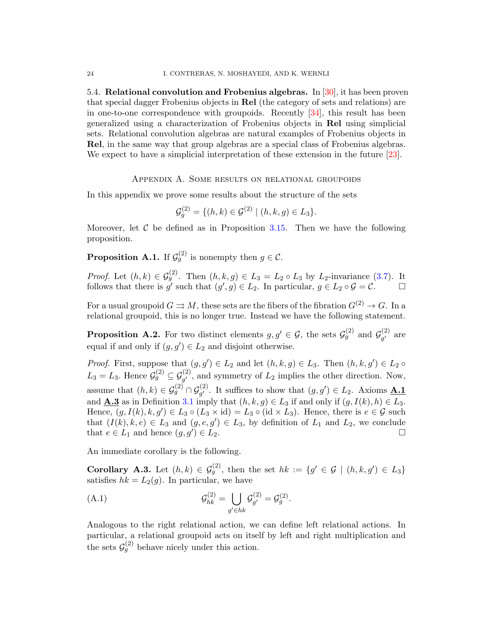<span id="page-23-0"></span>5.4. Relational convolution and Frobenius algebras. In  $[30]$ , it has been proven that special dagger Frobenius objects in Rel (the category of sets and relations) are in one-to-one correspondence with groupoids. Recently [\[34\]](#page-26-3), this result has been generalized using a characterization of Frobenius objects in Rel using simplicial sets. Relational convolution algebras are natural examples of Frobenius objects in Rel, in the same way that group algebras are a special class of Frobenius algebras. We expect to have a simplicial interpretation of these extension in the future [\[23\]](#page-25-22).

Appendix A. Some results on relational groupoids

<span id="page-23-1"></span>In this appendix we prove some results about the structure of the sets

$$
\mathcal{G}_g^{(2)} = \{ (h, k) \in \mathcal{G}^{(2)} \mid (h, k, g) \in L_3 \}.
$$

Moreover, let  $C$  be defined as in Proposition [3.15.](#page-12-6) Then we have the following proposition.

<span id="page-23-2"></span>**Proposition A.1.** If  $\mathcal{G}_g^{(2)}$  is nonempty then  $g \in \mathcal{C}$ .

*Proof.* Let  $(h, k) \in \mathcal{G}_g^{(2)}$ . Then  $(h, k, g) \in L_3 = L_2 \circ L_3$  by  $L_2$ -invariance [\(3.7\)](#page-7-2). It follows that there is g' such that  $(g', g) \in L_2$ . In particular,  $g \in L_2 \circ \mathcal{G} = \mathcal{C}$ .

For a usual groupoid  $G \rightrightarrows M$ , these sets are the fibers of the fibration  $G^{(2)} \to G$ . In a relational groupoid, this is no longer true. Instead we have the following statement.

**Proposition A.2.** For two distinct elements  $g, g' \in \mathcal{G}$ , the sets  $\mathcal{G}_{g}^{(2)}$  and  $\mathcal{G}_{g'}^{(2)}$  $g'$  are equal if and only if  $(g, g') \in L_2$  and disjoint otherwise.

*Proof.* First, suppose that  $(g, g') \in L_2$  and let  $(h, k, g) \in L_3$ . Then  $(h, k, g') \in L_2 \circ$  $L_3 = L_3$ . Hence  $\mathcal{G}_g^{(2)} \subseteq \mathcal{G}_{g'}^{(2)}$ , and symmetry of  $L_2$  implies the other direction. Now, assume that  $(h, k) \in \mathcal{G}_g^{(2)} \cap \mathcal{G}_{g'}^{(2)}$ . It suffices to show that  $(g, g') \in L_2$ . Axioms  $\underline{\mathbf{A.1}}$ and **A.3** as in Definition [3.1](#page-6-2) imply that  $(h, k, g) \in L_3$  if and only if  $(g, I(k), h) \in L_3$ . Hence,  $(g, I(k), k, g') \in L_3 \circ (L_3 \times id) = L_3 \circ (id \times L_3)$ . Hence, there is  $e \in \mathcal{G}$  such that  $(I(k), k, e) \in L_3$  and  $(g, e, g') \in L_3$ , by definition of  $L_1$  and  $L_2$ , we conclude that  $e \in L_1$  and hence  $(g, g') \in L_2$ .  $) \in L_2.$ 

An immediate corollary is the following.

**Corollary A.3.** Let  $(h, k) \in \mathcal{G}_{g}^{(2)}$ , then the set  $hk := \{g' \in \mathcal{G} \mid (h, k, g') \in L_3\}$ satisfies  $hk = L_2(g)$ . In particular, we have

(A.1) 
$$
\mathcal{G}_{hk}^{(2)} = \bigcup_{g' \in hk} \mathcal{G}_{g'}^{(2)} = \mathcal{G}_{g}^{(2)}.
$$

Analogous to the right relational action, we can define left relational actions. In particular, a relational groupoid acts on itself by left and right multiplication and the sets  $\mathcal{G}_{g}^{(2)}$  behave nicely under this action.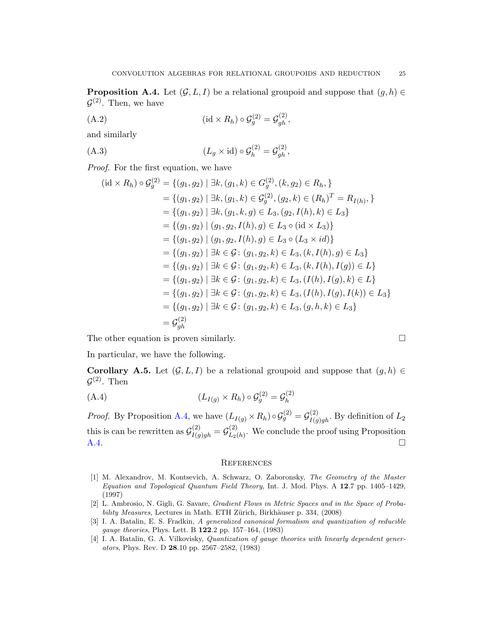<span id="page-24-5"></span>**Proposition A.4.** Let  $(G, L, I)$  be a relational groupoid and suppose that  $(g, h) \in$  $\mathcal{G}^{(2)}$ . Then, we have

$$
(A.2) \qquad (\mathrm{id} \times R_h) \circ \mathcal{G}_g^{(2)} = \mathcal{G}_{gh}^{(2)},
$$

and similarly

(A.3) 
$$
(L_g \times id) \circ \mathcal{G}_h^{(2)} = \mathcal{G}_{gh}^{(2)},
$$

Proof. For the first equation, we have

$$
(\mathrm{id} \times R_h) \circ \mathcal{G}_g^{(2)} = \{ (g_1, g_2) \mid \exists k, (g_1, k) \in G_g^{(2)}, (k, g_2) \in R_h, \}
$$
  
\n
$$
= \{ (g_1, g_2) \mid \exists k, (g_1, k) \in \mathcal{G}_g^{(2)}, (g_2, k) \in (R_h)^T = R_{I(h)}, \}
$$
  
\n
$$
= \{ (g_1, g_2) \mid \exists k, (g_1, k, g) \in L_3, (g_2, I(h), k) \in L_3 \}
$$
  
\n
$$
= \{ (g_1, g_2) \mid (g_1, g_2, I(h), g) \in L_3 \circ (\mathrm{id} \times L_3) \}
$$
  
\n
$$
= \{ (g_1, g_2) \mid (g_1, g_2, I(h), g) \in L_3 \circ (L_3 \times id) \}
$$
  
\n
$$
= \{ (g_1, g_2) \mid \exists k \in \mathcal{G} : (g_1, g_2, k) \in L_3, (k, I(h), I(g)) \in L_3 \}
$$
  
\n
$$
= \{ (g_1, g_2) \mid \exists k \in \mathcal{G} : (g_1, g_2, k) \in L_3, (k, I(h), I(g)) \in L \}
$$
  
\n
$$
= \{ (g_1, g_2) \mid \exists k \in \mathcal{G} : (g_1, g_2, k) \in L_3, (I(h), I(g), k) \in L \}
$$
  
\n
$$
= \{ (g_1, g_2) \mid \exists k \in \mathcal{G} : (g_1, g_2, k) \in L_3, (I(h), I(g), I(k)) \in L_3 \}
$$
  
\n
$$
= \{ (g_1, g_2) \mid \exists k \in \mathcal{G} : (g_1, g_2, k) \in L_3, (g, h, k) \in L_3 \}
$$
  
\n
$$
= \mathcal{G}_g^{(2)}
$$

The other equation is proven similarly.  $\square$ 

In particular, we have the following.

Corollary A.5. Let  $(G, L, I)$  be a relational groupoid and suppose that  $(g, h) \in$  $\mathcal{G}^{(2)}$ . Then

(A.4) 
$$
(L_{I(g)} \times R_h) \circ \mathcal{G}_g^{(2)} = \mathcal{G}_h^{(2)}
$$

*Proof.* By Proposition [A.4,](#page-24-5) we have  $(L_{I(g)} \times R_h) \circ \mathcal{G}_g^{(2)} = \mathcal{G}_{I(g)gh}^{(2)}$ . By definition of  $L_2$ this is can be rewritten as  $\mathcal{G}_{I(g)gh}^{(2)} = \mathcal{G}_{L_2}^{(2)}$  $L_2(\lambda)$ . We conclude the proof using Proposition [A.4.](#page-24-5)

#### <span id="page-24-0"></span>**REFERENCES**

- <span id="page-24-3"></span>[1] M. Alexandrov, M. Kontsevich, A. Schwarz, O. Zaboronsky, The Geometry of the Master Equation and Topological Quantum Field Theory, Int. J. Mod. Phys. A 12.7 pp. 1405–1429, (1997)
- <span id="page-24-4"></span>[2] L. Ambrosio, N. Gigli, G. Savare, Gradient Flows in Metric Spaces and in the Space of Probability Measures, Lectures in Math. ETH Zürich, Birkhäuser p. 334, (2008)
- <span id="page-24-2"></span>[3] I. A. Batalin, E. S. Fradkin, A generalized canonical formalism and quantization of reducible gauge theories, Phys. Lett. B 122.2 pp. 157–164, (1983)
- <span id="page-24-1"></span>[4] I. A. Batalin, G. A. Vilkovisky, *Quantization of gauge theories with linearly dependent gener*ators, Phys. Rev. D 28.10 pp. 2567–2582, (1983)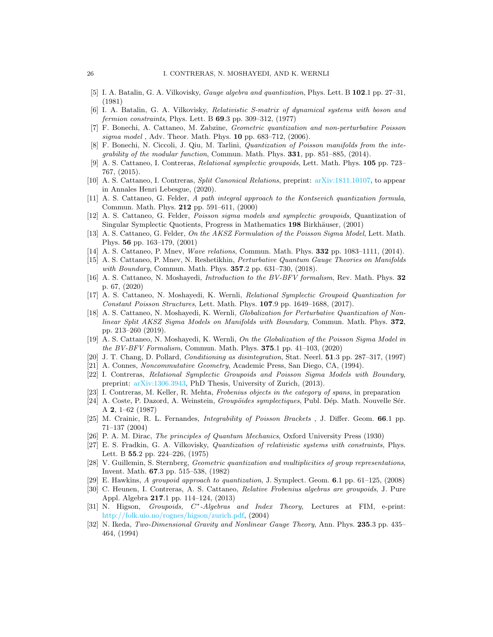- <span id="page-25-12"></span>[5] I. A. Batalin, G. A. Vilkovisky, *Gauge algebra and quantization*, Phys. Lett. B 102.1 pp. 27–31, (1981)
- <span id="page-25-13"></span>[6] I. A. Batalin, G. A. Vilkovisky, Relativistic S-matrix of dynamical systems with boson and fermion constraints, Phys. Lett. B 69.3 pp. 309–312, (1977)
- <span id="page-25-20"></span>[7] F. Bonechi, A. Cattaneo, M. Zabzine, Geometric quantization and non-perturbative Poisson sigma model, Adv. Theor. Math. Phys. 10 pp. 683-712, (2006).
- <span id="page-25-6"></span>[8] F. Bonechi, N. Ciccoli, J. Qiu, M. Tarlini, Quantization of Poisson manifolds from the integrability of the modular function, Commun. Math. Phys. 331, pp. 851–885, (2014).
- <span id="page-25-2"></span>[9] A. S. Cattaneo, I. Contreras, Relational symplectic groupoids, Lett. Math. Phys. 105 pp. 723– 767, (2015).
- <span id="page-25-26"></span>[10] A. S. Cattaneo, I. Contreras, Split Canonical Relations, preprint: [arXiv:1811.10107,](https://arxiv.org/abs/1811.10107) to appear in Annales Henri Lebesgue, (2020).
- <span id="page-25-11"></span>[11] A. S. Cattaneo, G. Felder, A path integral approach to the Kontsevich quantization formula, Commun. Math. Phys. 212 pp. 591–611, (2000)
- <span id="page-25-10"></span>[12] A. S. Cattaneo, G. Felder, Poisson sigma models and symplectic groupoids, Quantization of Singular Symplectic Quotients, Progress in Mathematics 198 Birkhäuser, (2001)
- <span id="page-25-9"></span>[13] A. S. Cattaneo, G. Felder, On the AKSZ Formulation of the Poisson Sigma Model, Lett. Math. Phys. 56 pp. 163–179, (2001)
- [14] A. S. Cattaneo, P. Mnev, Wave relations, Commun. Math. Phys. **332** pp. 1083–1111, (2014).
- <span id="page-25-14"></span>[15] A. S. Cattaneo, P. Mnev, N. Reshetikhin, Perturbative Quantum Gauge Theories on Manifolds with Boundary, Commun. Math. Phys. **357**.2 pp. 631-730, (2018).
- <span id="page-25-16"></span>[16] A. S. Cattaneo, N. Moshayedi, Introduction to the BV-BFV formalism, Rev. Math. Phys. 32 p. 67, (2020)
- <span id="page-25-17"></span>[17] A. S. Cattaneo, N. Moshayedi, K. Wernli, Relational Symplectic Groupoid Quantization for Constant Poisson Structures, Lett. Math. Phys. 107.9 pp. 1649–1688, (2017).
- <span id="page-25-19"></span>[18] A. S. Cattaneo, N. Moshayedi, K. Wernli, Globalization for Perturbative Quantization of Nonlinear Split AKSZ Sigma Models on Manifolds with Boundary, Commun. Math. Phys. 372, pp. 213–260 (2019).
- <span id="page-25-18"></span>[19] A. S. Cattaneo, N. Moshayedi, K. Wernli, On the Globalization of the Poisson Sigma Model in the BV-BFV Formalism, Commun. Math. Phys.  $375.1$  pp.  $41-103$ , (2020)
- <span id="page-25-25"></span>[20] J. T. Chang, D. Pollard, Conditioning as disintegration, Stat. Neerl. 51.3 pp. 287–317, (1997)
- <span id="page-25-23"></span>[21] A. Connes, Noncommutative Geometry, Academic Press, San Diego, CA, (1994).
- <span id="page-25-3"></span>[22] I. Contreras, Relational Symplectic Groupoids and Poisson Sigma Models with Boundary, preprint: [arXiv:1306.3943,](https://arxiv.org/abs/1306.3943) PhD Thesis, University of Zurich, (2013).
- <span id="page-25-22"></span>[23] I. Contreras, M. Keller, R. Mehta, Frobenius objects in the category of spans, in preparation
- <span id="page-25-0"></span>[24] A. Coste, P. Dazord, A. Weinstein, Groupöides symplectiques, Publ. Dép. Math. Nouvelle Sér. A 2, 1–62 (1987)
- <span id="page-25-1"></span>[25] M. Crainic, R. L. Fernandes, *Integrability of Poisson Brackets*, J. Differ. Geom. **66.**1 pp. 71–137 (2004)
- <span id="page-25-7"></span>[26] P. A. M. Dirac, The principles of Quantum Mechanics, Oxford University Press (1930)
- <span id="page-25-15"></span>[27] E. S. Fradkin, G. A. Vilkovisky, Quantization of relativistic systems with constraints, Phys. Lett. B 55.2 pp. 224–226, (1975)
- <span id="page-25-5"></span>[28] V. Guillemin, S. Sternberg, Geometric quantization and multiplicities of group representations, Invent. Math. 67.3 pp. 515–538, (1982)
- <span id="page-25-4"></span>[29] E. Hawkins, A groupoid approach to quantization, J. Symplect. Geom. 6.1 pp. 61–125, (2008)
- <span id="page-25-21"></span>[30] C. Heunen, I. Contreras, A. S. Cattaneo, Relative Frobenius algebras are groupoids, J. Pure Appl. Algebra 217.1 pp. 114–124, (2013)
- <span id="page-25-24"></span>[31] N. Higson, Groupoids, C<sup>\*</sup>-Algebras and Index Theory, Lectures at FIM, e-print: [http://folk.uio.no/rognes/higson/zurich.pdf,](http://folk.uio.no/rognes/higson/zurich.pdf) (2004)
- <span id="page-25-8"></span>[32] N. Ikeda, Two-Dimensional Gravity and Nonlinear Gauge Theory, Ann. Phys. 235.3 pp. 435– 464, (1994)